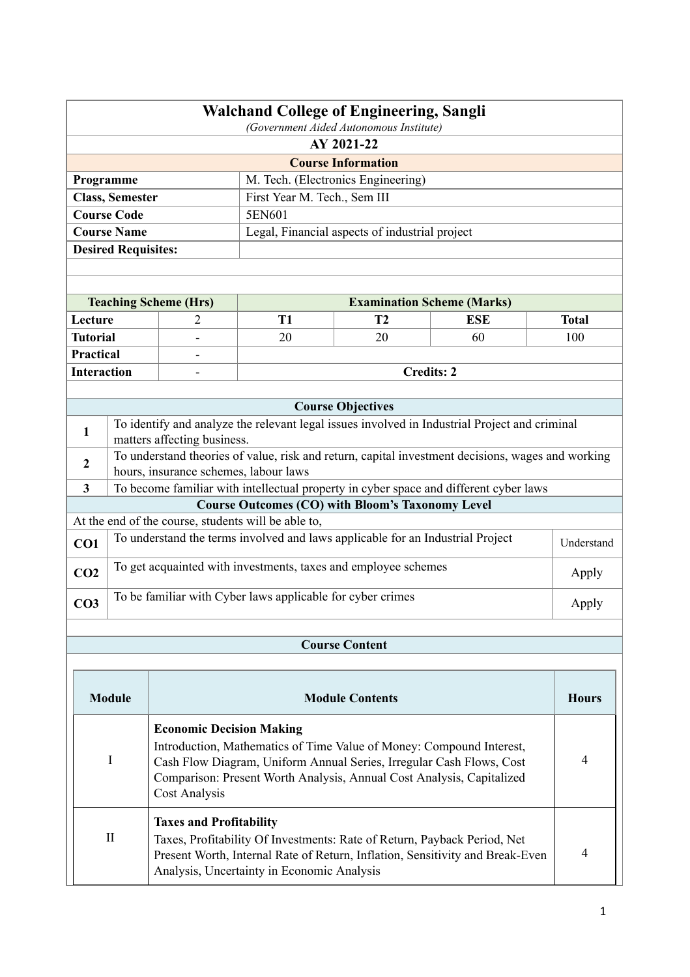|                                                                                       | <b>Walchand College of Engineering, Sangli</b><br>(Government Aided Autonomous Institute) |                                       |                                                                                               |                                                                                                   |            |              |  |  |
|---------------------------------------------------------------------------------------|-------------------------------------------------------------------------------------------|---------------------------------------|-----------------------------------------------------------------------------------------------|---------------------------------------------------------------------------------------------------|------------|--------------|--|--|
|                                                                                       | AY 2021-22                                                                                |                                       |                                                                                               |                                                                                                   |            |              |  |  |
|                                                                                       |                                                                                           |                                       |                                                                                               | <b>Course Information</b>                                                                         |            |              |  |  |
|                                                                                       | M. Tech. (Electronics Engineering)<br>Programme                                           |                                       |                                                                                               |                                                                                                   |            |              |  |  |
|                                                                                       | <b>Class, Semester</b>                                                                    |                                       | First Year M. Tech., Sem III                                                                  |                                                                                                   |            |              |  |  |
|                                                                                       | <b>Course Code</b>                                                                        |                                       | 5EN601                                                                                        |                                                                                                   |            |              |  |  |
|                                                                                       | <b>Course Name</b>                                                                        |                                       |                                                                                               | Legal, Financial aspects of industrial project                                                    |            |              |  |  |
|                                                                                       | <b>Desired Requisites:</b>                                                                |                                       |                                                                                               |                                                                                                   |            |              |  |  |
|                                                                                       |                                                                                           |                                       |                                                                                               |                                                                                                   |            |              |  |  |
|                                                                                       |                                                                                           |                                       |                                                                                               |                                                                                                   |            |              |  |  |
|                                                                                       |                                                                                           | <b>Teaching Scheme (Hrs)</b>          |                                                                                               | <b>Examination Scheme (Marks)</b>                                                                 |            |              |  |  |
| Lecture                                                                               |                                                                                           | 2                                     | T1                                                                                            | T <sub>2</sub>                                                                                    | <b>ESE</b> | <b>Total</b> |  |  |
| <b>Tutorial</b>                                                                       |                                                                                           |                                       | 20                                                                                            | 20                                                                                                | 60         | 100          |  |  |
| <b>Practical</b>                                                                      |                                                                                           |                                       |                                                                                               |                                                                                                   |            |              |  |  |
| <b>Interaction</b>                                                                    |                                                                                           |                                       |                                                                                               | <b>Credits: 2</b>                                                                                 |            |              |  |  |
|                                                                                       |                                                                                           |                                       |                                                                                               |                                                                                                   |            |              |  |  |
|                                                                                       |                                                                                           |                                       |                                                                                               | <b>Course Objectives</b>                                                                          |            |              |  |  |
| $\mathbf{1}$                                                                          |                                                                                           |                                       | To identify and analyze the relevant legal issues involved in Industrial Project and criminal |                                                                                                   |            |              |  |  |
|                                                                                       |                                                                                           | matters affecting business.           |                                                                                               |                                                                                                   |            |              |  |  |
| 2                                                                                     |                                                                                           |                                       |                                                                                               | To understand theories of value, risk and return, capital investment decisions, wages and working |            |              |  |  |
|                                                                                       |                                                                                           | hours, insurance schemes, labour laws |                                                                                               |                                                                                                   |            |              |  |  |
| $\overline{\mathbf{3}}$                                                               |                                                                                           |                                       |                                                                                               | To become familiar with intellectual property in cyber space and different cyber laws             |            |              |  |  |
|                                                                                       |                                                                                           |                                       |                                                                                               | <b>Course Outcomes (CO) with Bloom's Taxonomy Level</b>                                           |            |              |  |  |
|                                                                                       | At the end of the course, students will be able to,                                       |                                       |                                                                                               |                                                                                                   |            |              |  |  |
| To understand the terms involved and laws applicable for an Industrial Project<br>CO1 |                                                                                           |                                       |                                                                                               | Understand                                                                                        |            |              |  |  |
| CO <sub>2</sub>                                                                       | To get acquainted with investments, taxes and employee schemes<br>Apply                   |                                       |                                                                                               |                                                                                                   |            |              |  |  |
| CO <sub>3</sub>                                                                       |                                                                                           |                                       | To be familiar with Cyber laws applicable for cyber crimes                                    |                                                                                                   |            | Apply        |  |  |
|                                                                                       |                                                                                           |                                       |                                                                                               |                                                                                                   |            |              |  |  |

# **Course Content**

| <b>Module</b> | <b>Module Contents</b>                                                                                                                                                                                                                                                    | <b>Hours</b> |
|---------------|---------------------------------------------------------------------------------------------------------------------------------------------------------------------------------------------------------------------------------------------------------------------------|--------------|
|               | <b>Economic Decision Making</b><br>Introduction, Mathematics of Time Value of Money: Compound Interest,<br>Cash Flow Diagram, Uniform Annual Series, Irregular Cash Flows, Cost<br>Comparison: Present Worth Analysis, Annual Cost Analysis, Capitalized<br>Cost Analysis |              |
| $\mathbf{H}$  | <b>Taxes and Profitability</b><br>Taxes, Profitability Of Investments: Rate of Return, Payback Period, Net<br>Present Worth, Internal Rate of Return, Inflation, Sensitivity and Break-Even<br>Analysis, Uncertainty in Economic Analysis                                 |              |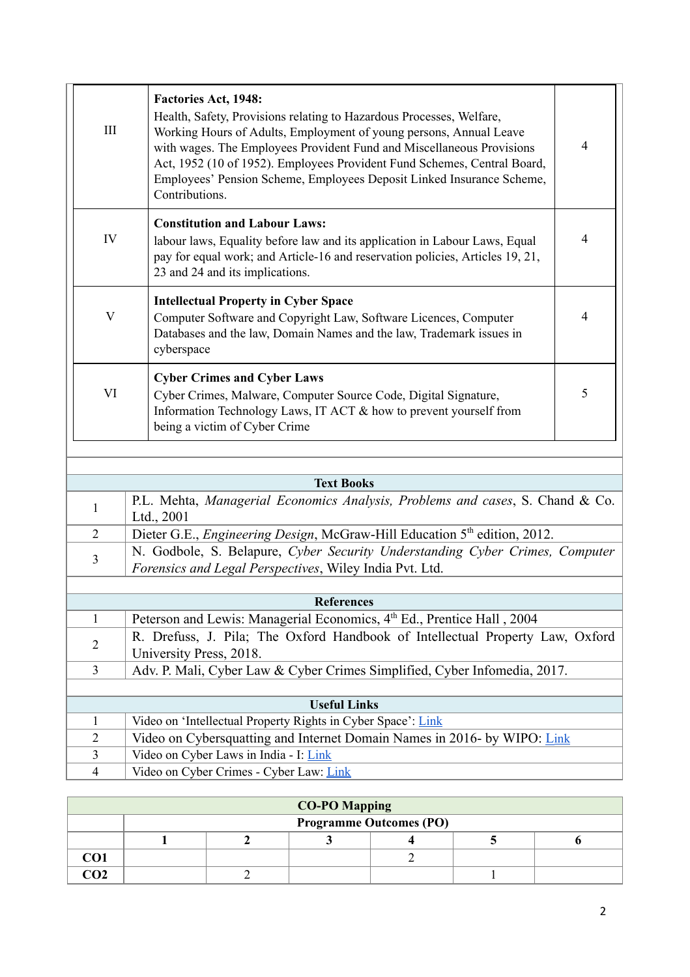| III                       | <b>Factories Act, 1948:</b><br>Health, Safety, Provisions relating to Hazardous Processes, Welfare,<br>Working Hours of Adults, Employment of young persons, Annual Leave<br>with wages. The Employees Provident Fund and Miscellaneous Provisions<br>Act, 1952 (10 of 1952). Employees Provident Fund Schemes, Central Board,<br>Employees' Pension Scheme, Employees Deposit Linked Insurance Scheme,<br>Contributions. | 4              |
|---------------------------|---------------------------------------------------------------------------------------------------------------------------------------------------------------------------------------------------------------------------------------------------------------------------------------------------------------------------------------------------------------------------------------------------------------------------|----------------|
| IV                        | <b>Constitution and Labour Laws:</b><br>labour laws, Equality before law and its application in Labour Laws, Equal<br>pay for equal work; and Article-16 and reservation policies, Articles 19, 21,<br>23 and 24 and its implications.                                                                                                                                                                                    | $\overline{4}$ |
| $\boldsymbol{\mathrm{V}}$ | <b>Intellectual Property in Cyber Space</b><br>Computer Software and Copyright Law, Software Licences, Computer<br>Databases and the law, Domain Names and the law, Trademark issues in<br>cyberspace                                                                                                                                                                                                                     | $\overline{4}$ |
| VI                        | <b>Cyber Crimes and Cyber Laws</b><br>Cyber Crimes, Malware, Computer Source Code, Digital Signature,<br>Information Technology Laws, IT ACT & how to prevent yourself from<br>being a victim of Cyber Crime                                                                                                                                                                                                              | 5              |

|                             | <b>Text Books</b>                                                                                                                    |  |  |  |  |
|-----------------------------|--------------------------------------------------------------------------------------------------------------------------------------|--|--|--|--|
|                             | P.L. Mehta, Managerial Economics Analysis, Problems and cases, S. Chand & Co.<br>Ltd., 2001                                          |  |  |  |  |
| $\mathcal{D}_{\mathcal{L}}$ | Dieter G.E., <i>Engineering Design</i> , McGraw-Hill Education 5 <sup>th</sup> edition, 2012.                                        |  |  |  |  |
| 3                           | N. Godbole, S. Belapure, Cyber Security Understanding Cyber Crimes, Computer Forensics and Legal Perspectives, Wiley India Pvt. Ltd. |  |  |  |  |
|                             |                                                                                                                                      |  |  |  |  |
|                             | <b>References</b>                                                                                                                    |  |  |  |  |
|                             |                                                                                                                                      |  |  |  |  |

| Peterson and Lewis: Managerial Economics, 4 <sup>th</sup> Ed., Prentice Hall, 2004 |  |  |  |  |  |
|------------------------------------------------------------------------------------|--|--|--|--|--|
| R. Drefuss, J. Pila; The Oxford Handbook of Intellectual Property Law, Oxford      |  |  |  |  |  |
| University Press, 2018.                                                            |  |  |  |  |  |
| Adv. P. Mali, Cyber Law & Cyber Crimes Simplified, Cyber Infomedia, 2017.          |  |  |  |  |  |
|                                                                                    |  |  |  |  |  |
| <b>Useful Links</b>                                                                |  |  |  |  |  |
| Video on 'Intellectual Property Rights in Cyber Space': Link                       |  |  |  |  |  |
| Video on Cybersquatting and Internet Domain Names in 2016- by WIPO: Link           |  |  |  |  |  |
| Video on Cyber Laws in India - I: Link                                             |  |  |  |  |  |
| Video on Cyber Crimes - Cyber Law: Link                                            |  |  |  |  |  |
|                                                                                    |  |  |  |  |  |

| <b>CO-PO Mapping</b> |                                |  |  |  |  |  |  |
|----------------------|--------------------------------|--|--|--|--|--|--|
|                      | <b>Programme Outcomes (PO)</b> |  |  |  |  |  |  |
|                      |                                |  |  |  |  |  |  |
| CO1                  |                                |  |  |  |  |  |  |
| CO <sub>2</sub>      |                                |  |  |  |  |  |  |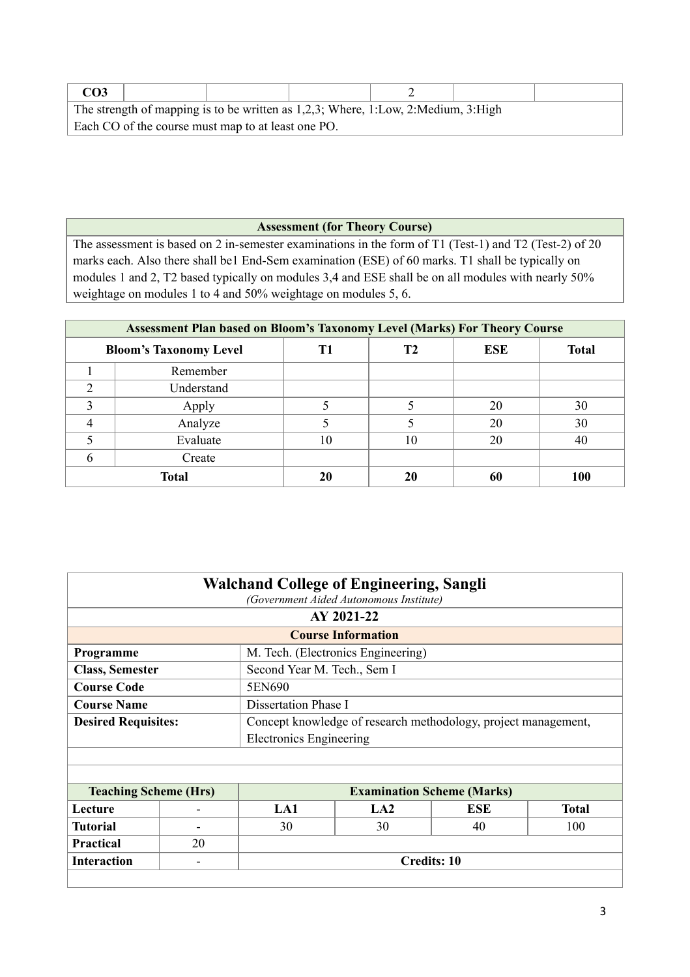| CO <sub>3</sub>                                                                      |  |                                                    |  |  |  |  |
|--------------------------------------------------------------------------------------|--|----------------------------------------------------|--|--|--|--|
| The strength of mapping is to be written as $1,2,3$ ; Where, 1:Low, 2:Medium, 3:High |  |                                                    |  |  |  |  |
|                                                                                      |  | Each CO of the course must map to at least one PO. |  |  |  |  |

## **Assessment (for Theory Course)**

The assessment is based on 2 in-semester examinations in the form of T1 (Test-1) and T2 (Test-2) of 20 marks each. Also there shall be1 End-Sem examination (ESE) of 60 marks. T1 shall be typically on modules 1 and 2, T2 based typically on modules 3,4 and ESE shall be on all modules with nearly 50% weightage on modules 1 to 4 and 50% weightage on modules 5, 6.

| Assessment Plan based on Bloom's Taxonomy Level (Marks) For Theory Course |              |    |    |    |     |  |
|---------------------------------------------------------------------------|--------------|----|----|----|-----|--|
| ESE<br><b>Total</b><br><b>Bloom's Taxonomy Level</b><br>Т2                |              |    |    |    |     |  |
|                                                                           | Remember     |    |    |    |     |  |
| ◠                                                                         | Understand   |    |    |    |     |  |
| 3                                                                         | Apply        |    |    | 20 | 30  |  |
|                                                                           | Analyze      |    |    | 20 | 30  |  |
|                                                                           | Evaluate     | 10 | 10 | 20 | 40  |  |
|                                                                           | Create       |    |    |    |     |  |
|                                                                           | <b>Total</b> |    | 20 | 60 | 100 |  |

| <b>Walchand College of Engineering, Sangli</b><br>(Government Aided Autonomous Institute) |                           |                                                                |                                    |                                   |              |  |  |  |
|-------------------------------------------------------------------------------------------|---------------------------|----------------------------------------------------------------|------------------------------------|-----------------------------------|--------------|--|--|--|
|                                                                                           | AY 2021-22                |                                                                |                                    |                                   |              |  |  |  |
|                                                                                           | <b>Course Information</b> |                                                                |                                    |                                   |              |  |  |  |
| Programme                                                                                 |                           |                                                                | M. Tech. (Electronics Engineering) |                                   |              |  |  |  |
| <b>Class, Semester</b>                                                                    |                           | Second Year M. Tech., Sem I                                    |                                    |                                   |              |  |  |  |
| <b>Course Code</b>                                                                        |                           | 5EN690                                                         |                                    |                                   |              |  |  |  |
| <b>Course Name</b>                                                                        |                           | Dissertation Phase I                                           |                                    |                                   |              |  |  |  |
| <b>Desired Requisites:</b>                                                                |                           | Concept knowledge of research methodology, project management, |                                    |                                   |              |  |  |  |
|                                                                                           |                           | <b>Electronics Engineering</b>                                 |                                    |                                   |              |  |  |  |
|                                                                                           |                           |                                                                |                                    |                                   |              |  |  |  |
|                                                                                           |                           |                                                                |                                    |                                   |              |  |  |  |
| <b>Teaching Scheme (Hrs)</b>                                                              |                           |                                                                |                                    | <b>Examination Scheme (Marks)</b> |              |  |  |  |
| Lecture                                                                                   |                           | LA1                                                            | LA2                                | <b>ESE</b>                        | <b>Total</b> |  |  |  |
| <b>Tutorial</b>                                                                           |                           | 30                                                             | 30                                 | 40                                | 100          |  |  |  |
| <b>Practical</b>                                                                          | 20                        |                                                                |                                    |                                   |              |  |  |  |
| <b>Interaction</b>                                                                        |                           | <b>Credits: 10</b>                                             |                                    |                                   |              |  |  |  |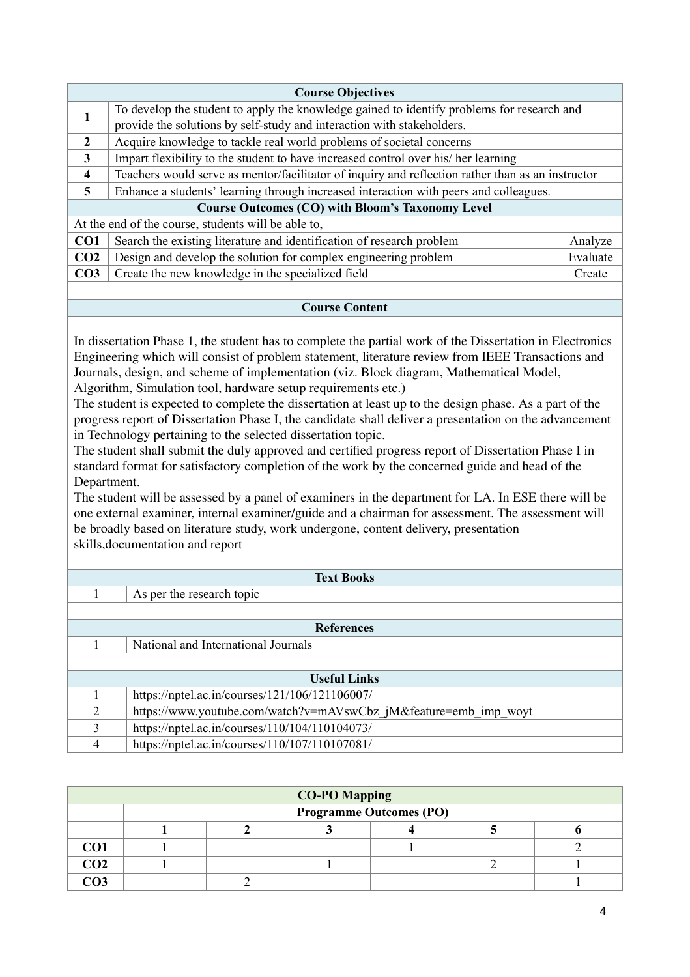|                         | <b>Course Objectives</b>                                                                          |          |  |  |  |
|-------------------------|---------------------------------------------------------------------------------------------------|----------|--|--|--|
|                         | To develop the student to apply the knowledge gained to identify problems for research and        |          |  |  |  |
|                         | provide the solutions by self-study and interaction with stakeholders.                            |          |  |  |  |
| $\mathbf{2}$            | Acquire knowledge to tackle real world problems of societal concerns                              |          |  |  |  |
| $\mathbf{3}$            | Impart flexibility to the student to have increased control over his/her learning                 |          |  |  |  |
| $\overline{\mathbf{4}}$ | Teachers would serve as mentor/facilitator of inquiry and reflection rather than as an instructor |          |  |  |  |
| $\overline{5}$          | Enhance a students' learning through increased interaction with peers and colleagues.             |          |  |  |  |
|                         | <b>Course Outcomes (CO) with Bloom's Taxonomy Level</b>                                           |          |  |  |  |
|                         | At the end of the course, students will be able to,                                               |          |  |  |  |
| CO <sub>1</sub>         | Search the existing literature and identification of research problem                             | Analyze  |  |  |  |
| CO <sub>2</sub>         | Design and develop the solution for complex engineering problem                                   | Evaluate |  |  |  |
| CO <sub>3</sub>         | Create the new knowledge in the specialized field                                                 | Create   |  |  |  |
|                         |                                                                                                   |          |  |  |  |

## **Course Content**

In dissertation Phase 1, the student has to complete the partial work of the Dissertation in Electronics Engineering which will consist of problem statement, literature review from IEEE Transactions and Journals, design, and scheme of implementation (viz. Block diagram, Mathematical Model, Algorithm, Simulation tool, hardware setup requirements etc.)

The student is expected to complete the dissertation at least up to the design phase. As a part of the progress report of Dissertation Phase I, the candidate shall deliver a presentation on the advancement in Technology pertaining to the selected dissertation topic.

The student shall submit the duly approved and certified progress report of Dissertation Phase I in standard format for satisfactory completion of the work by the concerned guide and head of the Department.

The student will be assessed by a panel of examiners in the department for LA. In ESE there will be one external examiner, internal examiner/guide and a chairman for assessment. The assessment will be broadly based on literature study, work undergone, content delivery, presentation skills,documentation and report

|               | <b>Text Books</b>                                                |  |  |  |  |
|---------------|------------------------------------------------------------------|--|--|--|--|
|               | As per the research topic                                        |  |  |  |  |
|               |                                                                  |  |  |  |  |
|               | <b>References</b>                                                |  |  |  |  |
|               | National and International Journals                              |  |  |  |  |
|               |                                                                  |  |  |  |  |
|               | <b>Useful Links</b>                                              |  |  |  |  |
|               | https://nptel.ac.in/courses/121/106/121106007/                   |  |  |  |  |
| 2             | https://www.youtube.com/watch?v=mAVswCbz jM&feature=emb imp woyt |  |  |  |  |
| $\mathcal{L}$ | https://nptel.ac.in/courses/110/104/110104073/                   |  |  |  |  |
| 4             | https://nptel.ac.in/courses/110/107/110107081/                   |  |  |  |  |

| <b>CO-PO Mapping</b> |                                |  |  |  |  |  |  |
|----------------------|--------------------------------|--|--|--|--|--|--|
|                      | <b>Programme Outcomes (PO)</b> |  |  |  |  |  |  |
|                      |                                |  |  |  |  |  |  |
| CO <sub>1</sub>      |                                |  |  |  |  |  |  |
| CO <sub>2</sub>      |                                |  |  |  |  |  |  |
| CO <sub>3</sub>      |                                |  |  |  |  |  |  |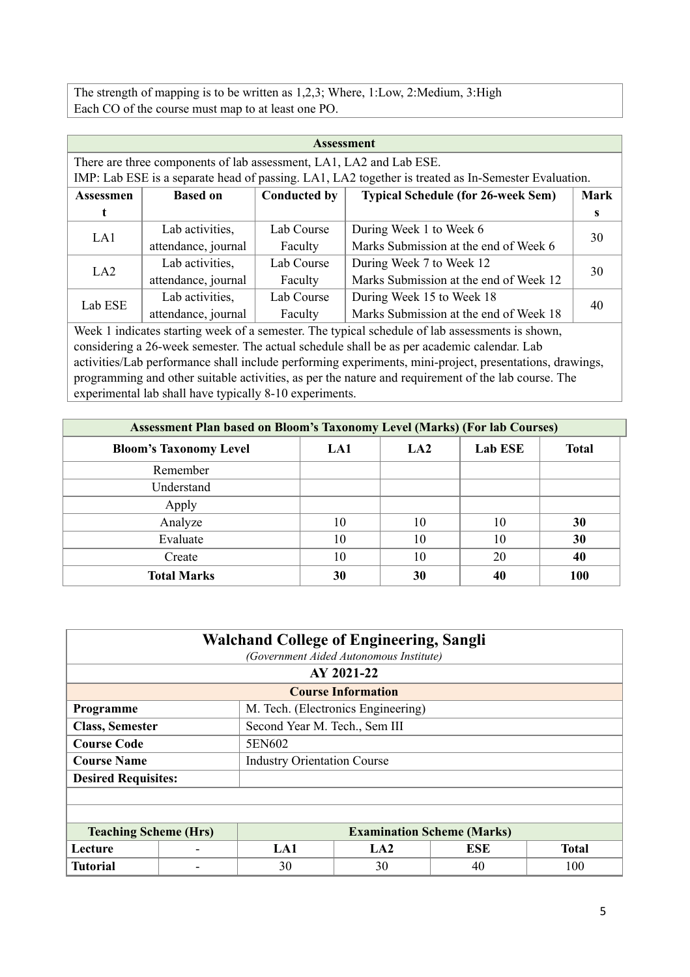The strength of mapping is to be written as 1,2,3; Where, 1:Low, 2:Medium, 3:High Each CO of the course must map to at least one PO.

| <b>Assessment</b>                                                        |                                                                                                 |                     |                                                                                                     |             |  |  |  |  |  |  |
|--------------------------------------------------------------------------|-------------------------------------------------------------------------------------------------|---------------------|-----------------------------------------------------------------------------------------------------|-------------|--|--|--|--|--|--|
| There are three components of lab assessment, LA1, LA2 and Lab ESE.      |                                                                                                 |                     |                                                                                                     |             |  |  |  |  |  |  |
|                                                                          |                                                                                                 |                     | IMP: Lab ESE is a separate head of passing. LA1, LA2 together is treated as In-Semester Evaluation. |             |  |  |  |  |  |  |
| <b>Assessmen</b>                                                         | <b>Based on</b>                                                                                 | <b>Conducted by</b> | <b>Typical Schedule (for 26-week Sem)</b>                                                           | <b>Mark</b> |  |  |  |  |  |  |
|                                                                          |                                                                                                 |                     |                                                                                                     | s           |  |  |  |  |  |  |
| LA1                                                                      | Lab activities,                                                                                 | Lab Course          | During Week 1 to Week 6                                                                             | 30          |  |  |  |  |  |  |
|                                                                          | attendance, journal                                                                             | Faculty             | Marks Submission at the end of Week 6                                                               |             |  |  |  |  |  |  |
| LA2                                                                      | Lab activities,                                                                                 | Lab Course          | During Week 7 to Week 12                                                                            | 30          |  |  |  |  |  |  |
|                                                                          | attendance, journal                                                                             | Faculty             | Marks Submission at the end of Week 12                                                              |             |  |  |  |  |  |  |
| Lab ESE                                                                  | Lab activities,                                                                                 | Lab Course          | During Week 15 to Week 18                                                                           | 40          |  |  |  |  |  |  |
| Marks Submission at the end of Week 18<br>attendance, journal<br>Faculty |                                                                                                 |                     |                                                                                                     |             |  |  |  |  |  |  |
|                                                                          | Week 1 indicates starting week of a semester. The typical schedule of lab assessments is shown, |                     |                                                                                                     |             |  |  |  |  |  |  |

considering a 26-week semester. The actual schedule shall be as per academic calendar. Lab activities/Lab performance shall include performing experiments, mini-project, presentations, drawings, programming and other suitable activities, as per the nature and requirement of the lab course. The experimental lab shall have typically 8-10 experiments.

| <b>Assessment Plan based on Bloom's Taxonomy Level (Marks) (For lab Courses)</b> |     |     |                |              |  |  |  |  |  |  |  |
|----------------------------------------------------------------------------------|-----|-----|----------------|--------------|--|--|--|--|--|--|--|
| <b>Bloom's Taxonomy Level</b>                                                    | LA1 | LA2 | <b>Lab ESE</b> | <b>Total</b> |  |  |  |  |  |  |  |
| Remember                                                                         |     |     |                |              |  |  |  |  |  |  |  |
| Understand                                                                       |     |     |                |              |  |  |  |  |  |  |  |
| Apply                                                                            |     |     |                |              |  |  |  |  |  |  |  |
| Analyze                                                                          | 10  | 10  | 10             | 30           |  |  |  |  |  |  |  |
| Evaluate                                                                         | 10  | 10  | 10             | 30           |  |  |  |  |  |  |  |
| Create                                                                           | 10  | 10  | 20             | 40           |  |  |  |  |  |  |  |
| <b>Total Marks</b>                                                               | 30  | 30  | 40             | <b>100</b>   |  |  |  |  |  |  |  |

| <b>Walchand College of Engineering, Sangli</b><br>(Government Aided Autonomous Institute) |            |                                    |                                    |            |              |  |  |  |  |
|-------------------------------------------------------------------------------------------|------------|------------------------------------|------------------------------------|------------|--------------|--|--|--|--|
|                                                                                           | AY 2021-22 |                                    |                                    |            |              |  |  |  |  |
|                                                                                           |            |                                    | <b>Course Information</b>          |            |              |  |  |  |  |
| Programme                                                                                 |            |                                    | M. Tech. (Electronics Engineering) |            |              |  |  |  |  |
| <b>Class, Semester</b>                                                                    |            | Second Year M. Tech., Sem III      |                                    |            |              |  |  |  |  |
| <b>Course Code</b>                                                                        |            | 5EN602                             |                                    |            |              |  |  |  |  |
| <b>Course Name</b>                                                                        |            | <b>Industry Orientation Course</b> |                                    |            |              |  |  |  |  |
| <b>Desired Requisites:</b>                                                                |            |                                    |                                    |            |              |  |  |  |  |
|                                                                                           |            |                                    |                                    |            |              |  |  |  |  |
|                                                                                           |            |                                    |                                    |            |              |  |  |  |  |
| <b>Teaching Scheme (Hrs)</b>                                                              |            |                                    | <b>Examination Scheme (Marks)</b>  |            |              |  |  |  |  |
| Lecture                                                                                   |            | LA1                                | LA2                                | <b>ESE</b> | <b>Total</b> |  |  |  |  |
| <b>Tutorial</b>                                                                           |            | 30                                 | 30                                 | 40         | 100          |  |  |  |  |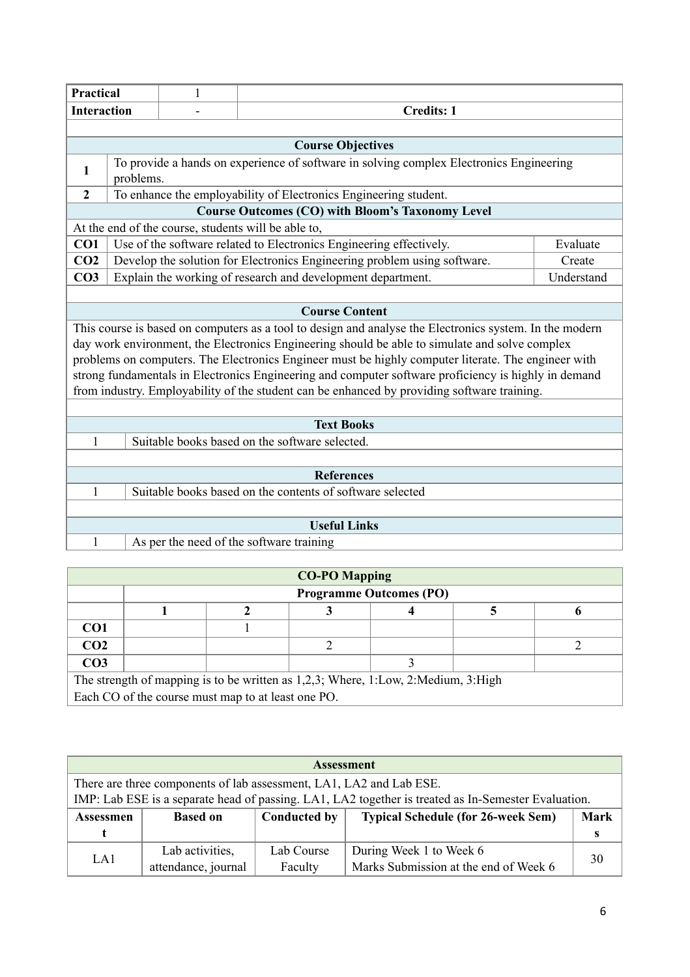|                    | Practical<br>$\mathbf{1}$ |  |                                                                                                                                                                                                     |            |  |  |  |  |  |  |  |
|--------------------|---------------------------|--|-----------------------------------------------------------------------------------------------------------------------------------------------------------------------------------------------------|------------|--|--|--|--|--|--|--|
| <b>Interaction</b> |                           |  | <b>Credits: 1</b>                                                                                                                                                                                   |            |  |  |  |  |  |  |  |
|                    |                           |  |                                                                                                                                                                                                     |            |  |  |  |  |  |  |  |
|                    |                           |  | <b>Course Objectives</b>                                                                                                                                                                            |            |  |  |  |  |  |  |  |
| 1                  | problems.                 |  | To provide a hands on experience of software in solving complex Electronics Engineering                                                                                                             |            |  |  |  |  |  |  |  |
| $\overline{2}$     |                           |  | To enhance the employability of Electronics Engineering student.                                                                                                                                    |            |  |  |  |  |  |  |  |
|                    |                           |  | <b>Course Outcomes (CO) with Bloom's Taxonomy Level</b>                                                                                                                                             |            |  |  |  |  |  |  |  |
|                    |                           |  | At the end of the course, students will be able to,                                                                                                                                                 |            |  |  |  |  |  |  |  |
| CO1                |                           |  | Use of the software related to Electronics Engineering effectively.                                                                                                                                 | Evaluate   |  |  |  |  |  |  |  |
| CO <sub>2</sub>    |                           |  | Develop the solution for Electronics Engineering problem using software.                                                                                                                            | Create     |  |  |  |  |  |  |  |
| CO <sub>3</sub>    |                           |  | Explain the working of research and development department.                                                                                                                                         | Understand |  |  |  |  |  |  |  |
|                    |                           |  |                                                                                                                                                                                                     |            |  |  |  |  |  |  |  |
|                    |                           |  | <b>Course Content</b>                                                                                                                                                                               |            |  |  |  |  |  |  |  |
|                    |                           |  | This course is based on computers as a tool to design and analyse the Electronics system. In the modern                                                                                             |            |  |  |  |  |  |  |  |
|                    |                           |  | day work environment, the Electronics Engineering should be able to simulate and solve complex                                                                                                      |            |  |  |  |  |  |  |  |
|                    |                           |  | problems on computers. The Electronics Engineer must be highly computer literate. The engineer with                                                                                                 |            |  |  |  |  |  |  |  |
|                    |                           |  | strong fundamentals in Electronics Engineering and computer software proficiency is highly in demand<br>from industry. Employability of the student can be enhanced by providing software training. |            |  |  |  |  |  |  |  |
|                    |                           |  |                                                                                                                                                                                                     |            |  |  |  |  |  |  |  |
|                    |                           |  | <b>Text Books</b>                                                                                                                                                                                   |            |  |  |  |  |  |  |  |
| 1                  |                           |  | Suitable books based on the software selected.                                                                                                                                                      |            |  |  |  |  |  |  |  |
|                    |                           |  |                                                                                                                                                                                                     |            |  |  |  |  |  |  |  |
| <b>References</b>  |                           |  |                                                                                                                                                                                                     |            |  |  |  |  |  |  |  |
| 1                  |                           |  | Suitable books based on the contents of software selected                                                                                                                                           |            |  |  |  |  |  |  |  |
|                    |                           |  |                                                                                                                                                                                                     |            |  |  |  |  |  |  |  |
|                    |                           |  | <b>Useful Links</b>                                                                                                                                                                                 |            |  |  |  |  |  |  |  |
| 1                  |                           |  | As per the need of the software training                                                                                                                                                            |            |  |  |  |  |  |  |  |

| <b>CO-PO Mapping</b>                                                              |                                                    |  |  |  |  |  |  |  |  |  |  |
|-----------------------------------------------------------------------------------|----------------------------------------------------|--|--|--|--|--|--|--|--|--|--|
|                                                                                   | <b>Programme Outcomes (PO)</b>                     |  |  |  |  |  |  |  |  |  |  |
|                                                                                   |                                                    |  |  |  |  |  |  |  |  |  |  |
| CO <sub>1</sub>                                                                   |                                                    |  |  |  |  |  |  |  |  |  |  |
| CO <sub>2</sub>                                                                   |                                                    |  |  |  |  |  |  |  |  |  |  |
| CO <sub>3</sub>                                                                   |                                                    |  |  |  |  |  |  |  |  |  |  |
| The strength of mapping is to be written as 1,2,3; Where, 1:Low, 2:Medium, 3:High |                                                    |  |  |  |  |  |  |  |  |  |  |
|                                                                                   | Each CO of the course must map to at least one PO. |  |  |  |  |  |  |  |  |  |  |

| <b>Assessment</b>                                                   |                     |              |                                                                                                     |             |  |  |  |  |  |  |  |
|---------------------------------------------------------------------|---------------------|--------------|-----------------------------------------------------------------------------------------------------|-------------|--|--|--|--|--|--|--|
| There are three components of lab assessment, LA1, LA2 and Lab ESE. |                     |              |                                                                                                     |             |  |  |  |  |  |  |  |
|                                                                     |                     |              | IMP: Lab ESE is a separate head of passing. LA1, LA2 together is treated as In-Semester Evaluation. |             |  |  |  |  |  |  |  |
| <b>Assessmen</b>                                                    | <b>Based on</b>     | Conducted by | <b>Typical Schedule (for 26-week Sem)</b>                                                           | <b>Mark</b> |  |  |  |  |  |  |  |
|                                                                     |                     |              |                                                                                                     | s           |  |  |  |  |  |  |  |
| LA1                                                                 | Lab activities,     | Lab Course   | During Week 1 to Week 6                                                                             | 30          |  |  |  |  |  |  |  |
|                                                                     | attendance, journal | Faculty      | Marks Submission at the end of Week 6                                                               |             |  |  |  |  |  |  |  |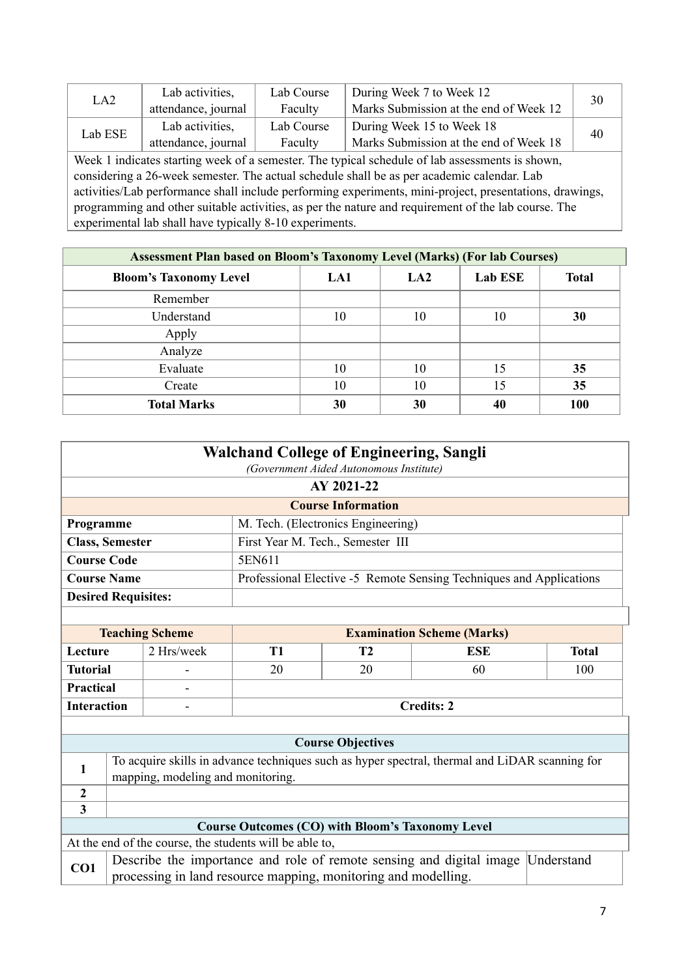| LA <sub>2</sub>                                                                                         | Lab activities,                                                          | Lab Course | During Week 7 to Week 12                                                                        | 30 |  |  |  |  |
|---------------------------------------------------------------------------------------------------------|--------------------------------------------------------------------------|------------|-------------------------------------------------------------------------------------------------|----|--|--|--|--|
|                                                                                                         | attendance, journal                                                      | Faculty    | Marks Submission at the end of Week 12                                                          |    |  |  |  |  |
| Lab ESE                                                                                                 | Lab activities,                                                          | Lab Course | During Week 15 to Week 18                                                                       | 40 |  |  |  |  |
|                                                                                                         | Marks Submission at the end of Week 18<br>attendance, journal<br>Faculty |            |                                                                                                 |    |  |  |  |  |
|                                                                                                         |                                                                          |            | Week 1 indicates starting week of a semester. The typical schedule of lab assessments is shown, |    |  |  |  |  |
|                                                                                                         |                                                                          |            | considering a 26-week semester. The actual schedule shall be as per academic calendar. Lab      |    |  |  |  |  |
| activities/Lab performance shall include performing experiments, mini-project, presentations, drawings, |                                                                          |            |                                                                                                 |    |  |  |  |  |
| programming and other suitable activities, as per the nature and requirement of the lab course. The     |                                                                          |            |                                                                                                 |    |  |  |  |  |
| experimental lab shall have typically 8-10 experiments.                                                 |                                                                          |            |                                                                                                 |    |  |  |  |  |

| <b>Assessment Plan based on Bloom's Taxonomy Level (Marks) (For lab Courses)</b> |     |                 |                |              |  |  |  |  |  |  |
|----------------------------------------------------------------------------------|-----|-----------------|----------------|--------------|--|--|--|--|--|--|
| <b>Bloom's Taxonomy Level</b>                                                    | LA1 | LA <sub>2</sub> | <b>Lab ESE</b> | <b>Total</b> |  |  |  |  |  |  |
| Remember                                                                         |     |                 |                |              |  |  |  |  |  |  |
| Understand                                                                       | 10  | 10              | 10             | 30           |  |  |  |  |  |  |
| Apply                                                                            |     |                 |                |              |  |  |  |  |  |  |
| Analyze                                                                          |     |                 |                |              |  |  |  |  |  |  |
| Evaluate                                                                         | 10  | 10              | 15             | 35           |  |  |  |  |  |  |
| Create                                                                           | 10  | 10              | 15             | 35           |  |  |  |  |  |  |
| <b>Total Marks</b>                                                               | 30  | 30              | 40             | <b>100</b>   |  |  |  |  |  |  |

| <b>Walchand College of Engineering, Sangli</b><br>(Government Aided Autonomous Institute) |                           |                                   |                                                                |                                    |                                                                                                |              |  |  |  |  |
|-------------------------------------------------------------------------------------------|---------------------------|-----------------------------------|----------------------------------------------------------------|------------------------------------|------------------------------------------------------------------------------------------------|--------------|--|--|--|--|
| AY 2021-22                                                                                |                           |                                   |                                                                |                                    |                                                                                                |              |  |  |  |  |
|                                                                                           | <b>Course Information</b> |                                   |                                                                |                                    |                                                                                                |              |  |  |  |  |
| Programme                                                                                 |                           |                                   |                                                                | M. Tech. (Electronics Engineering) |                                                                                                |              |  |  |  |  |
| <b>Class, Semester</b>                                                                    |                           |                                   |                                                                | First Year M. Tech., Semester III  |                                                                                                |              |  |  |  |  |
| <b>Course Code</b>                                                                        |                           |                                   | 5EN611                                                         |                                    |                                                                                                |              |  |  |  |  |
| <b>Course Name</b>                                                                        |                           |                                   |                                                                |                                    | Professional Elective -5 Remote Sensing Techniques and Applications                            |              |  |  |  |  |
| <b>Desired Requisites:</b>                                                                |                           |                                   |                                                                |                                    |                                                                                                |              |  |  |  |  |
|                                                                                           |                           |                                   |                                                                |                                    |                                                                                                |              |  |  |  |  |
|                                                                                           |                           | <b>Teaching Scheme</b>            |                                                                |                                    | <b>Examination Scheme (Marks)</b>                                                              |              |  |  |  |  |
| Lecture                                                                                   |                           | 2 Hrs/week                        | <b>T1</b>                                                      | T2                                 | <b>ESE</b>                                                                                     | <b>Total</b> |  |  |  |  |
| <b>Tutorial</b>                                                                           |                           |                                   | 20                                                             | 20                                 | 60                                                                                             | 100          |  |  |  |  |
| Practical                                                                                 |                           | -                                 |                                                                |                                    |                                                                                                |              |  |  |  |  |
| <b>Interaction</b>                                                                        |                           | $\blacksquare$                    |                                                                |                                    | <b>Credits: 2</b>                                                                              |              |  |  |  |  |
|                                                                                           |                           |                                   |                                                                |                                    |                                                                                                |              |  |  |  |  |
|                                                                                           |                           |                                   |                                                                | <b>Course Objectives</b>           |                                                                                                |              |  |  |  |  |
| 1                                                                                         |                           |                                   |                                                                |                                    | To acquire skills in advance techniques such as hyper spectral, thermal and LiDAR scanning for |              |  |  |  |  |
|                                                                                           |                           | mapping, modeling and monitoring. |                                                                |                                    |                                                                                                |              |  |  |  |  |
| $\mathbf{2}$                                                                              |                           |                                   |                                                                |                                    |                                                                                                |              |  |  |  |  |
| $\overline{\mathbf{3}}$                                                                   |                           |                                   |                                                                |                                    |                                                                                                |              |  |  |  |  |
|                                                                                           |                           |                                   | <b>Course Outcomes (CO) with Bloom's Taxonomy Level</b>        |                                    |                                                                                                |              |  |  |  |  |
|                                                                                           |                           |                                   | At the end of the course, the students will be able to,        |                                    |                                                                                                |              |  |  |  |  |
| CO1                                                                                       |                           |                                   | processing in land resource mapping, monitoring and modelling. |                                    | Describe the importance and role of remote sensing and digital image                           | Understand   |  |  |  |  |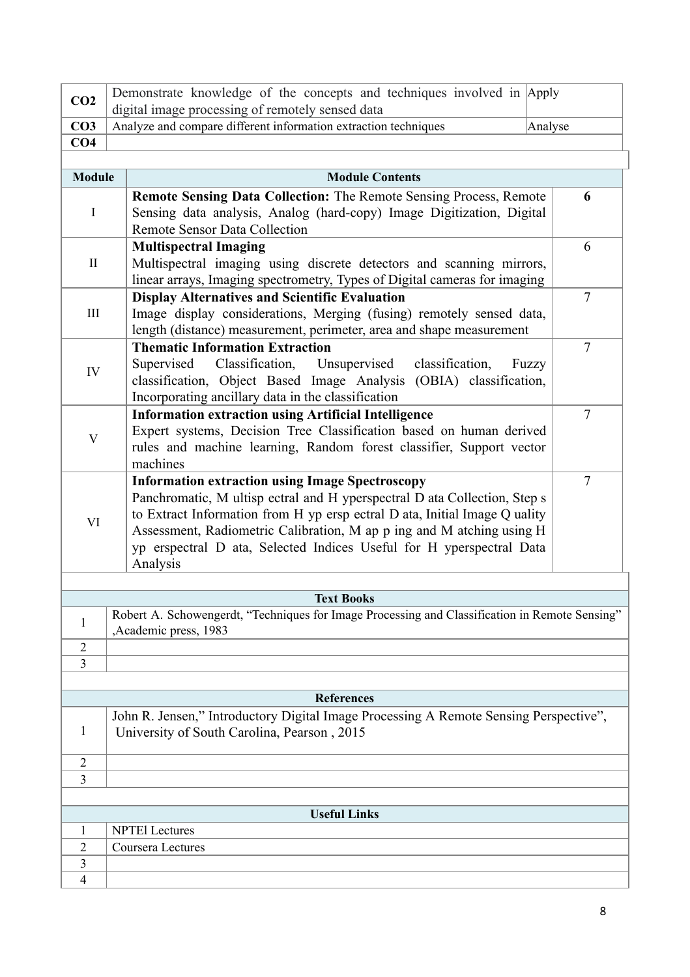| CO <sub>2</sub>           | Demonstrate knowledge of the concepts and techniques involved in Apply<br>digital image processing of remotely sensed data                                                                                                                                                                                                                                                     |                |  |  |  |  |  |
|---------------------------|--------------------------------------------------------------------------------------------------------------------------------------------------------------------------------------------------------------------------------------------------------------------------------------------------------------------------------------------------------------------------------|----------------|--|--|--|--|--|
| CO <sub>3</sub>           | Analyze and compare different information extraction techniques                                                                                                                                                                                                                                                                                                                |                |  |  |  |  |  |
|                           |                                                                                                                                                                                                                                                                                                                                                                                | Analyse        |  |  |  |  |  |
| CO <sub>4</sub>           |                                                                                                                                                                                                                                                                                                                                                                                |                |  |  |  |  |  |
|                           |                                                                                                                                                                                                                                                                                                                                                                                |                |  |  |  |  |  |
| <b>Module</b>             | <b>Module Contents</b>                                                                                                                                                                                                                                                                                                                                                         | 6              |  |  |  |  |  |
| $\mathbf I$               | <b>Remote Sensing Data Collection:</b> The Remote Sensing Process, Remote<br>Sensing data analysis, Analog (hard-copy) Image Digitization, Digital<br><b>Remote Sensor Data Collection</b>                                                                                                                                                                                     |                |  |  |  |  |  |
| $\mathbf{I}$              | <b>Multispectral Imaging</b><br>Multispectral imaging using discrete detectors and scanning mirrors,<br>linear arrays, Imaging spectrometry, Types of Digital cameras for imaging                                                                                                                                                                                              |                |  |  |  |  |  |
| $\rm III$                 | <b>Display Alternatives and Scientific Evaluation</b><br>Image display considerations, Merging (fusing) remotely sensed data,<br>length (distance) measurement, perimeter, area and shape measurement                                                                                                                                                                          | $\overline{7}$ |  |  |  |  |  |
| IV                        | <b>Thematic Information Extraction</b><br>Supervised<br>Classification,<br>Unsupervised<br>classification,<br>Fuzzy<br>classification, Object Based Image Analysis (OBIA) classification,<br>Incorporating ancillary data in the classification                                                                                                                                | $\overline{7}$ |  |  |  |  |  |
| $\boldsymbol{\mathrm{V}}$ | <b>Information extraction using Artificial Intelligence</b><br>Expert systems, Decision Tree Classification based on human derived<br>rules and machine learning, Random forest classifier, Support vector<br>machines                                                                                                                                                         |                |  |  |  |  |  |
| VI                        | <b>Information extraction using Image Spectroscopy</b><br>Panchromatic, M ultisp ectral and H yperspectral D ata Collection, Step s<br>to Extract Information from H yp ersp ectral D ata, Initial Image Q uality<br>Assessment, Radiometric Calibration, M ap p ing and M atching using H<br>yp erspectral D ata, Selected Indices Useful for H yperspectral Data<br>Analysis | $\overline{7}$ |  |  |  |  |  |
|                           |                                                                                                                                                                                                                                                                                                                                                                                |                |  |  |  |  |  |
|                           | <b>Text Books</b>                                                                                                                                                                                                                                                                                                                                                              |                |  |  |  |  |  |
| 1                         | Robert A. Schowengerdt, "Techniques for Image Processing and Classification in Remote Sensing"<br>,Academic press, 1983                                                                                                                                                                                                                                                        |                |  |  |  |  |  |
| $\overline{2}$            |                                                                                                                                                                                                                                                                                                                                                                                |                |  |  |  |  |  |
| $\overline{3}$            |                                                                                                                                                                                                                                                                                                                                                                                |                |  |  |  |  |  |
|                           |                                                                                                                                                                                                                                                                                                                                                                                |                |  |  |  |  |  |
|                           | <b>References</b>                                                                                                                                                                                                                                                                                                                                                              |                |  |  |  |  |  |
| 1                         | John R. Jensen," Introductory Digital Image Processing A Remote Sensing Perspective",<br>University of South Carolina, Pearson, 2015                                                                                                                                                                                                                                           |                |  |  |  |  |  |
| $\overline{2}$            |                                                                                                                                                                                                                                                                                                                                                                                |                |  |  |  |  |  |
| 3                         |                                                                                                                                                                                                                                                                                                                                                                                |                |  |  |  |  |  |
|                           |                                                                                                                                                                                                                                                                                                                                                                                |                |  |  |  |  |  |
|                           | <b>Useful Links</b>                                                                                                                                                                                                                                                                                                                                                            |                |  |  |  |  |  |
| 1                         | <b>NPTEI</b> Lectures                                                                                                                                                                                                                                                                                                                                                          |                |  |  |  |  |  |
| $\overline{2}$            | Coursera Lectures                                                                                                                                                                                                                                                                                                                                                              |                |  |  |  |  |  |
| 3                         |                                                                                                                                                                                                                                                                                                                                                                                |                |  |  |  |  |  |
| $\overline{4}$            |                                                                                                                                                                                                                                                                                                                                                                                |                |  |  |  |  |  |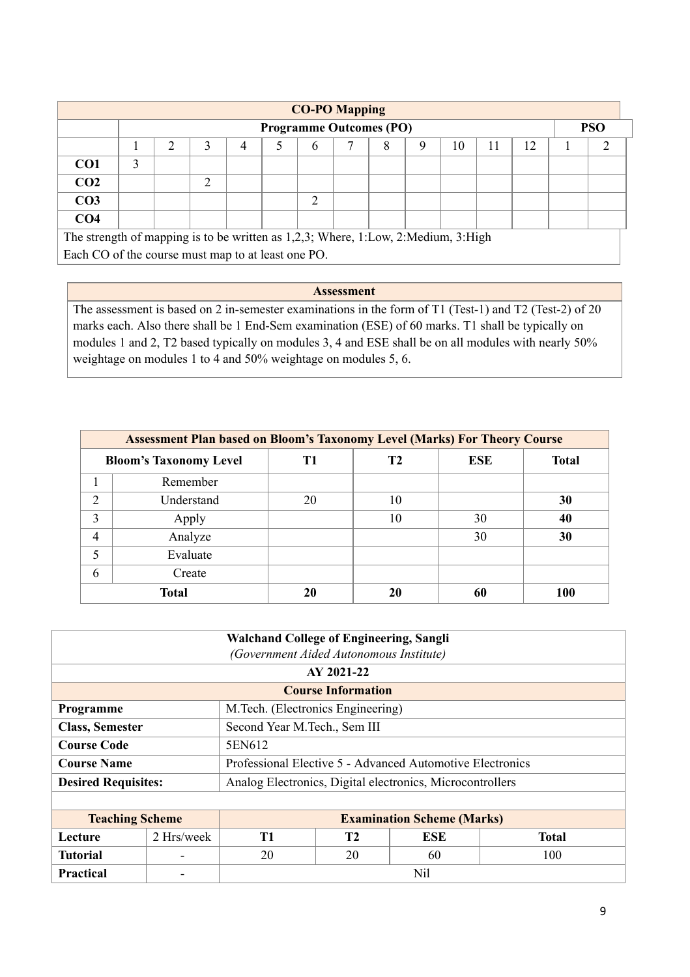|                 | <b>CO-PO Mapping</b>                                                              |   |   |   |  |   |  |   |   |    |  |    |  |  |
|-----------------|-----------------------------------------------------------------------------------|---|---|---|--|---|--|---|---|----|--|----|--|--|
|                 | <b>PSO</b><br><b>Programme Outcomes (PO)</b>                                      |   |   |   |  |   |  |   |   |    |  |    |  |  |
|                 |                                                                                   | ∍ |   | 4 |  | 6 |  | 8 | Q | 10 |  | 12 |  |  |
| CO <sub>1</sub> |                                                                                   |   |   |   |  |   |  |   |   |    |  |    |  |  |
| CO <sub>2</sub> |                                                                                   |   | ◠ |   |  |   |  |   |   |    |  |    |  |  |
| CO <sub>3</sub> |                                                                                   |   |   |   |  | ◠ |  |   |   |    |  |    |  |  |
| CO <sub>4</sub> |                                                                                   |   |   |   |  |   |  |   |   |    |  |    |  |  |
|                 | The strength of mapping is to be written as 1,2,3; Where, 1:Low, 2:Medium, 3:High |   |   |   |  |   |  |   |   |    |  |    |  |  |

Each CO of the course must map to at least one PO.

### **Assessment**

The assessment is based on 2 in-semester examinations in the form of T1 (Test-1) and T2 (Test-2) of 20 marks each. Also there shall be 1 End-Sem examination (ESE) of 60 marks. T1 shall be typically on modules 1 and 2, T2 based typically on modules 3, 4 and ESE shall be on all modules with nearly 50% weightage on modules 1 to 4 and 50% weightage on modules 5, 6.

| <b>Assessment Plan based on Bloom's Taxonomy Level (Marks) For Theory Course</b> |                               |    |    |            |              |  |  |  |  |  |  |
|----------------------------------------------------------------------------------|-------------------------------|----|----|------------|--------------|--|--|--|--|--|--|
|                                                                                  | <b>Bloom's Taxonomy Level</b> | T1 | Т2 | <b>ESE</b> | <b>Total</b> |  |  |  |  |  |  |
|                                                                                  | Remember                      |    |    |            |              |  |  |  |  |  |  |
| $\overline{2}$                                                                   | Understand                    | 20 | 10 |            | 30           |  |  |  |  |  |  |
| 3                                                                                | Apply                         |    | 10 | 30         | 40           |  |  |  |  |  |  |
| 4                                                                                | Analyze                       |    |    | 30         | 30           |  |  |  |  |  |  |
|                                                                                  | Evaluate                      |    |    |            |              |  |  |  |  |  |  |
| 6                                                                                | Create                        |    |    |            |              |  |  |  |  |  |  |
|                                                                                  | <b>Total</b>                  | 20 | 20 | 60         | 100          |  |  |  |  |  |  |

|                            | <b>Walchand College of Engineering, Sangli</b><br>(Government Aided Autonomous Institute) |                                                           |                           |     |     |  |  |
|----------------------------|-------------------------------------------------------------------------------------------|-----------------------------------------------------------|---------------------------|-----|-----|--|--|
|                            |                                                                                           |                                                           | AY 2021-22                |     |     |  |  |
|                            |                                                                                           |                                                           | <b>Course Information</b> |     |     |  |  |
| Programme                  |                                                                                           | M. Tech. (Electronics Engineering)                        |                           |     |     |  |  |
| <b>Class, Semester</b>     |                                                                                           | Second Year M.Tech., Sem III                              |                           |     |     |  |  |
| <b>Course Code</b>         |                                                                                           | 5EN612                                                    |                           |     |     |  |  |
| <b>Course Name</b>         |                                                                                           | Professional Elective 5 - Advanced Automotive Electronics |                           |     |     |  |  |
| <b>Desired Requisites:</b> |                                                                                           | Analog Electronics, Digital electronics, Microcontrollers |                           |     |     |  |  |
|                            |                                                                                           |                                                           |                           |     |     |  |  |
| <b>Teaching Scheme</b>     |                                                                                           | <b>Examination Scheme (Marks)</b>                         |                           |     |     |  |  |
| Lecture                    | 2 Hrs/week                                                                                | <b>Total</b><br>T1<br>T2<br>ESE                           |                           |     |     |  |  |
| <b>Tutorial</b>            |                                                                                           | 20                                                        | 20                        | 60  | 100 |  |  |
| Practical                  |                                                                                           |                                                           |                           | Nil |     |  |  |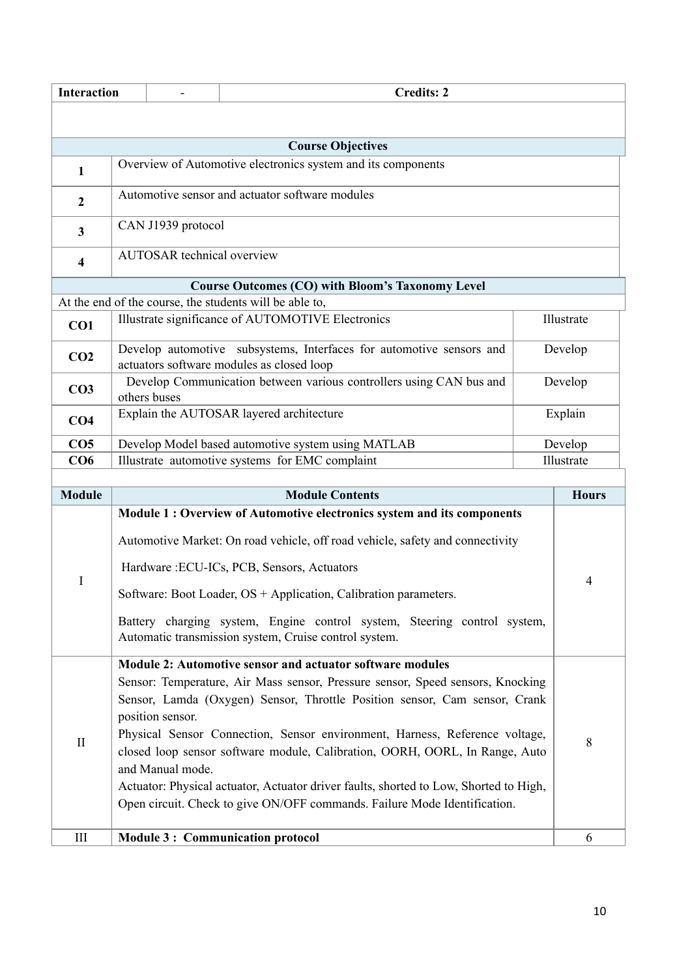|                  | <b>Interaction</b><br><b>Credits: 2</b>                                                         |                                   |                                                                                                                                   |  |              |  |  |
|------------------|-------------------------------------------------------------------------------------------------|-----------------------------------|-----------------------------------------------------------------------------------------------------------------------------------|--|--------------|--|--|
|                  |                                                                                                 |                                   |                                                                                                                                   |  |              |  |  |
|                  |                                                                                                 |                                   | <b>Course Objectives</b>                                                                                                          |  |              |  |  |
| 1                |                                                                                                 |                                   | Overview of Automotive electronics system and its components                                                                      |  |              |  |  |
| $\boldsymbol{2}$ |                                                                                                 |                                   | Automotive sensor and actuator software modules                                                                                   |  |              |  |  |
| 3                |                                                                                                 | CAN J1939 protocol                |                                                                                                                                   |  |              |  |  |
| 4                |                                                                                                 | <b>AUTOSAR</b> technical overview |                                                                                                                                   |  |              |  |  |
|                  |                                                                                                 |                                   | <b>Course Outcomes (CO) with Bloom's Taxonomy Level</b>                                                                           |  |              |  |  |
|                  |                                                                                                 |                                   | At the end of the course, the students will be able to,                                                                           |  |              |  |  |
| CO1              |                                                                                                 |                                   | Illustrate significance of AUTOMOTIVE Electronics                                                                                 |  | Illustrate   |  |  |
| CO <sub>2</sub>  |                                                                                                 |                                   | Develop automotive subsystems, Interfaces for automotive sensors and<br>actuators software modules as closed loop                 |  | Develop      |  |  |
| CO <sub>3</sub>  | Develop Communication between various controllers using CAN bus and<br>Develop<br>others buses  |                                   |                                                                                                                                   |  |              |  |  |
| CO <sub>4</sub>  | Explain the AUTOSAR layered architecture<br>Explain                                             |                                   |                                                                                                                                   |  |              |  |  |
| CO <sub>5</sub>  |                                                                                                 |                                   | Develop Model based automotive system using MATLAB                                                                                |  | Develop      |  |  |
| CO6              | Illustrate automotive systems for EMC complaint<br>Illustrate                                   |                                   |                                                                                                                                   |  |              |  |  |
|                  |                                                                                                 |                                   |                                                                                                                                   |  |              |  |  |
| <b>Module</b>    |                                                                                                 |                                   | <b>Module Contents</b>                                                                                                            |  | <b>Hours</b> |  |  |
|                  |                                                                                                 |                                   | Module 1 : Overview of Automotive electronics system and its components                                                           |  |              |  |  |
|                  |                                                                                                 |                                   | Automotive Market: On road vehicle, off road vehicle, safety and connectivity                                                     |  |              |  |  |
| I                |                                                                                                 |                                   | Hardware: ECU-ICs, PCB, Sensors, Actuators                                                                                        |  | 4            |  |  |
|                  |                                                                                                 |                                   | Software: Boot Loader, OS + Application, Calibration parameters.                                                                  |  |              |  |  |
|                  |                                                                                                 |                                   | Battery charging system, Engine control system, Steering control system,<br>Automatic transmission system, Cruise control system. |  |              |  |  |
|                  |                                                                                                 |                                   |                                                                                                                                   |  |              |  |  |
|                  |                                                                                                 |                                   | Module 2: Automotive sensor and actuator software modules                                                                         |  |              |  |  |
|                  |                                                                                                 |                                   | Sensor: Temperature, Air Mass sensor, Pressure sensor, Speed sensors, Knocking                                                    |  |              |  |  |
|                  |                                                                                                 |                                   | Sensor, Lamda (Oxygen) Sensor, Throttle Position sensor, Cam sensor, Crank                                                        |  |              |  |  |
|                  | position sensor.                                                                                |                                   |                                                                                                                                   |  |              |  |  |
| $\mathbf{I}$     | Physical Sensor Connection, Sensor environment, Harness, Reference voltage,                     |                                   |                                                                                                                                   |  |              |  |  |
|                  | closed loop sensor software module, Calibration, OORH, OORL, In Range, Auto<br>and Manual mode. |                                   |                                                                                                                                   |  |              |  |  |
|                  |                                                                                                 |                                   | Actuator: Physical actuator, Actuator driver faults, shorted to Low, Shorted to High,                                             |  |              |  |  |
|                  |                                                                                                 |                                   | Open circuit. Check to give ON/OFF commands. Failure Mode Identification.                                                         |  |              |  |  |
| Ш                |                                                                                                 |                                   | <b>Module 3: Communication protocol</b>                                                                                           |  | 6            |  |  |
|                  |                                                                                                 |                                   |                                                                                                                                   |  |              |  |  |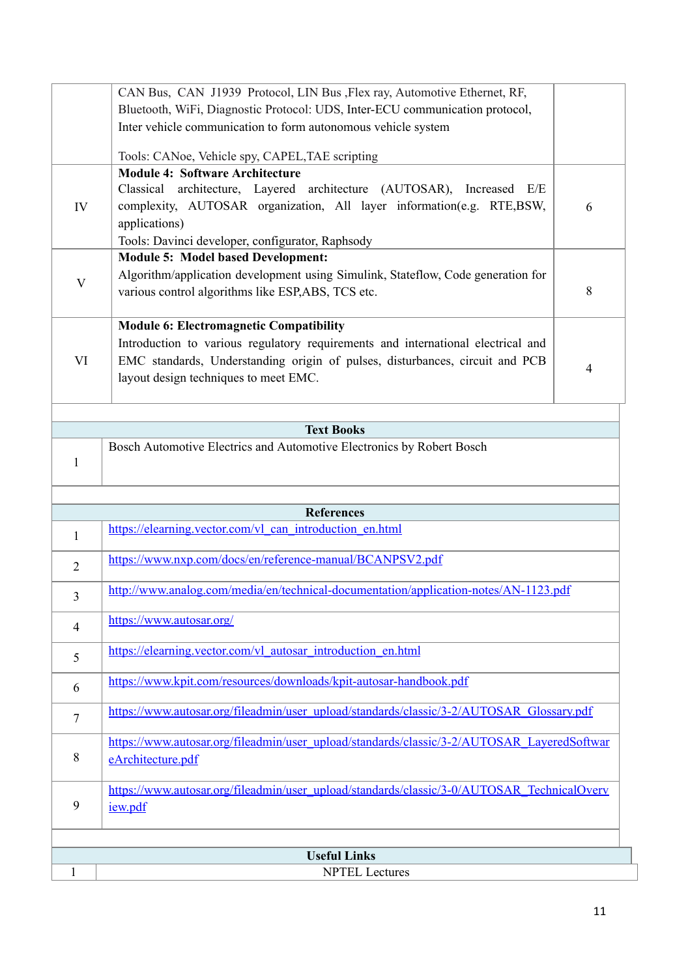|                | <b>Useful Links</b>                                                                                                                                       |   |
|----------------|-----------------------------------------------------------------------------------------------------------------------------------------------------------|---|
|                |                                                                                                                                                           |   |
|                |                                                                                                                                                           |   |
| 9              | iew.pdf                                                                                                                                                   |   |
|                | https://www.autosar.org/fileadmin/user_upload/standards/classic/3-0/AUTOSAR_TechnicalOverv                                                                |   |
| 8              | https://www.autosar.org/fileadmin/user_upload/standards/classic/3-2/AUTOSAR_LayeredSoftwar<br>eArchitecture.pdf                                           |   |
| 7              | https://www.autosar.org/fileadmin/user_upload/standards/classic/3-2/AUTOSAR_Glossary.pdf                                                                  |   |
| 6              | https://www.kpit.com/resources/downloads/kpit-autosar-handbook.pdf                                                                                        |   |
| 5              | https://elearning.vector.com/vl autosar introduction en.html                                                                                              |   |
| $\overline{4}$ | https://www.autosar.org/                                                                                                                                  |   |
| 3              | http://www.analog.com/media/en/technical-documentation/application-notes/AN-1123.pdf                                                                      |   |
| $\overline{2}$ | https://www.nxp.com/docs/en/reference-manual/BCANPSV2.pdf                                                                                                 |   |
| $\mathbf{1}$   | https://elearning.vector.com/vl can introduction en.html                                                                                                  |   |
|                | <b>References</b>                                                                                                                                         |   |
| 1              | Bosch Automotive Electrics and Automotive Electronics by Robert Bosch                                                                                     |   |
|                | <b>Text Books</b>                                                                                                                                         |   |
| VI             | EMC standards, Understanding origin of pulses, disturbances, circuit and PCB<br>layout design techniques to meet EMC.                                     | 4 |
|                | <b>Module 6: Electromagnetic Compatibility</b><br>Introduction to various regulatory requirements and international electrical and                        |   |
|                | various control algorithms like ESP,ABS, TCS etc.                                                                                                         | 8 |
| V              | <b>Module 5: Model based Development:</b><br>Algorithm/application development using Simulink, Stateflow, Code generation for                             |   |
| IV             | complexity, AUTOSAR organization, All layer information(e.g. RTE,BSW,<br>applications)<br>Tools: Davinci developer, configurator, Raphsody                | 6 |
|                | <b>Module 4: Software Architecture</b><br>Classical architecture, Layered architecture (AUTOSAR), Increased<br>E/E                                        |   |
|                | Tools: CANoe, Vehicle spy, CAPEL, TAE scripting                                                                                                           |   |
|                | Inter vehicle communication to form autonomous vehicle system                                                                                             |   |
|                | CAN Bus, CAN J1939 Protocol, LIN Bus , Flex ray, Automotive Ethernet, RF,<br>Bluetooth, WiFi, Diagnostic Protocol: UDS, Inter-ECU communication protocol, |   |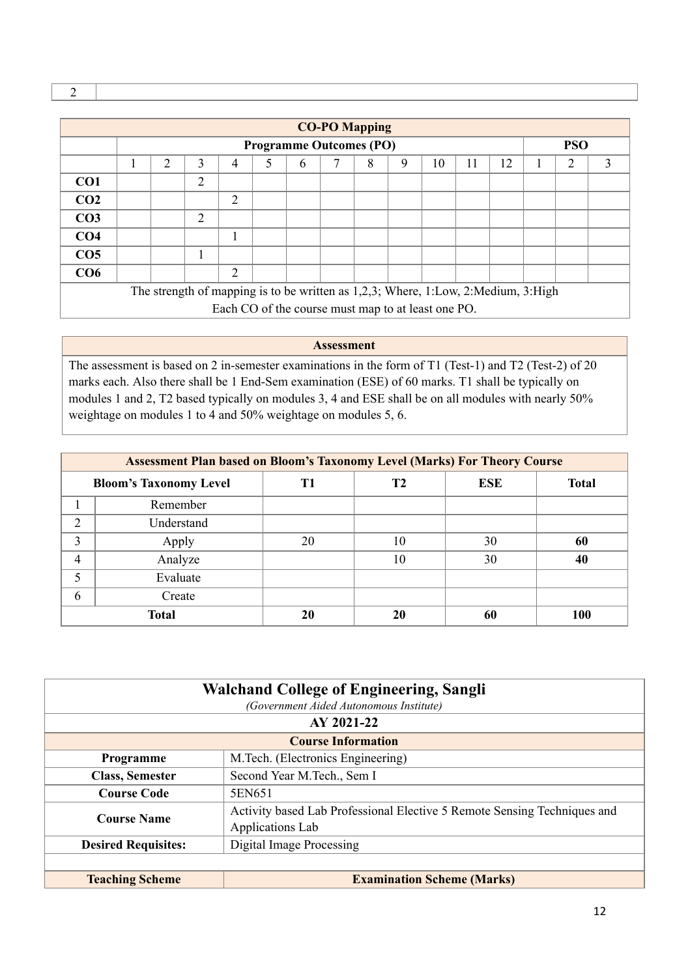|                 |   |                |                                                                                   |   |                                | <b>CO-PO Mapping</b> |   |   |    |    |    |            |   |
|-----------------|---|----------------|-----------------------------------------------------------------------------------|---|--------------------------------|----------------------|---|---|----|----|----|------------|---|
|                 |   |                |                                                                                   |   | <b>Programme Outcomes (PO)</b> |                      |   |   |    |    |    | <b>PSO</b> |   |
|                 | 2 | 3              | 4                                                                                 | 5 | 6                              |                      | 8 | 9 | 10 | 11 | 12 | 2          | 3 |
| CO <sub>1</sub> |   | $\overline{2}$ |                                                                                   |   |                                |                      |   |   |    |    |    |            |   |
| CO <sub>2</sub> |   |                | $\overline{2}$                                                                    |   |                                |                      |   |   |    |    |    |            |   |
| CO <sub>3</sub> |   | 2              |                                                                                   |   |                                |                      |   |   |    |    |    |            |   |
| CO <sub>4</sub> |   |                |                                                                                   |   |                                |                      |   |   |    |    |    |            |   |
| CO <sub>5</sub> |   |                |                                                                                   |   |                                |                      |   |   |    |    |    |            |   |
| CO6             |   |                | 2                                                                                 |   |                                |                      |   |   |    |    |    |            |   |
|                 |   |                | The strength of mapping is to be written as 1,2,3; Where, 1:Low, 2:Medium, 3:High |   |                                |                      |   |   |    |    |    |            |   |
|                 |   |                | Each CO of the course must map to at least one PO.                                |   |                                |                      |   |   |    |    |    |            |   |

**Assessment**

The assessment is based on 2 in-semester examinations in the form of T1 (Test-1) and T2 (Test-2) of 20 marks each. Also there shall be 1 End-Sem examination (ESE) of 60 marks. T1 shall be typically on modules 1 and 2, T2 based typically on modules 3, 4 and ESE shall be on all modules with nearly 50% weightage on modules 1 to 4 and 50% weightage on modules 5, 6.

|   | <b>Assessment Plan based on Bloom's Taxonomy Level (Marks) For Theory Course</b> |    |    |            |              |  |
|---|----------------------------------------------------------------------------------|----|----|------------|--------------|--|
|   | <b>Bloom's Taxonomy Level</b>                                                    | T1 | Т2 | <b>ESE</b> | <b>Total</b> |  |
|   | Remember                                                                         |    |    |            |              |  |
| 2 | Understand                                                                       |    |    |            |              |  |
| 3 | Apply                                                                            | 20 | 10 | 30         | 60           |  |
| 4 | Analyze                                                                          |    | 10 | 30         | 40           |  |
| 5 | Evaluate                                                                         |    |    |            |              |  |
| 6 | Create                                                                           |    |    |            |              |  |
|   | <b>Total</b>                                                                     | 20 | 20 | 60         | 100          |  |

|                            | <b>Walchand College of Engineering, Sangli</b><br>(Government Aided Autonomous Institute)    |
|----------------------------|----------------------------------------------------------------------------------------------|
|                            | AY 2021-22                                                                                   |
|                            | <b>Course Information</b>                                                                    |
| Programme                  | M. Tech. (Electronics Engineering)                                                           |
| <b>Class, Semester</b>     | Second Year M.Tech., Sem I                                                                   |
| <b>Course Code</b>         | 5EN651                                                                                       |
| <b>Course Name</b>         | Activity based Lab Professional Elective 5 Remote Sensing Techniques and<br>Applications Lab |
| <b>Desired Requisites:</b> | Digital Image Processing                                                                     |
|                            |                                                                                              |
| <b>Teaching Scheme</b>     | <b>Examination Scheme (Marks)</b>                                                            |

2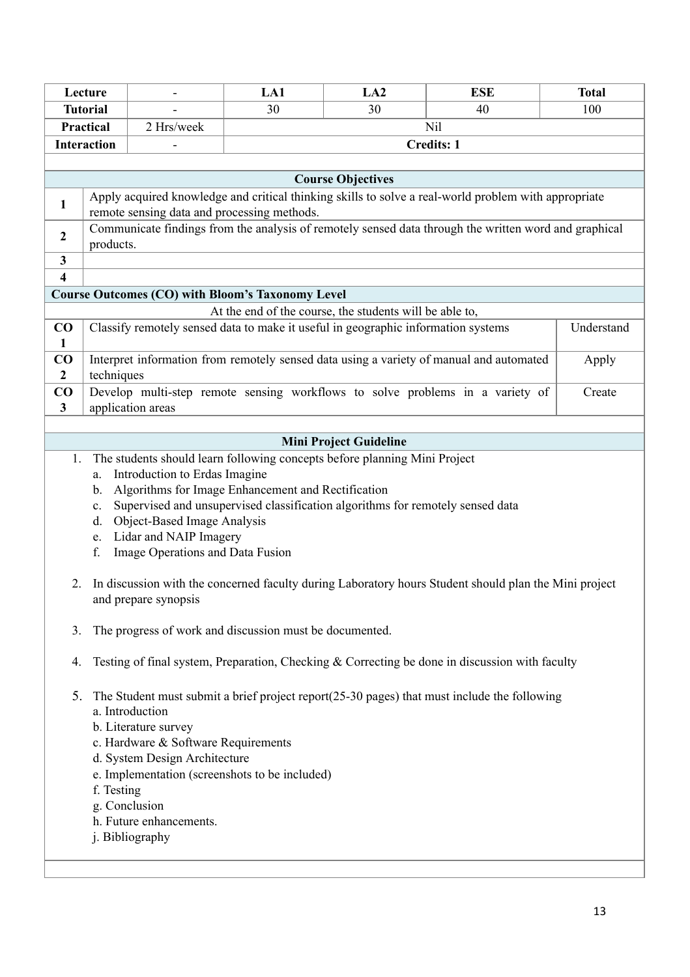|                            | Lecture                          |                                                                                                                                                                                                                                                                                                                                                                         | LA1                                                     | LA2                           | <b>ESE</b>                                                                                            | <b>Total</b> |
|----------------------------|----------------------------------|-------------------------------------------------------------------------------------------------------------------------------------------------------------------------------------------------------------------------------------------------------------------------------------------------------------------------------------------------------------------------|---------------------------------------------------------|-------------------------------|-------------------------------------------------------------------------------------------------------|--------------|
|                            | <b>Tutorial</b>                  |                                                                                                                                                                                                                                                                                                                                                                         | 30                                                      | 30                            | 40                                                                                                    | 100          |
|                            | Practical                        | 2 Hrs/week                                                                                                                                                                                                                                                                                                                                                              |                                                         |                               | Nil                                                                                                   |              |
|                            | <b>Interaction</b>               |                                                                                                                                                                                                                                                                                                                                                                         |                                                         |                               | <b>Credits: 1</b>                                                                                     |              |
|                            |                                  |                                                                                                                                                                                                                                                                                                                                                                         |                                                         |                               |                                                                                                       |              |
|                            |                                  |                                                                                                                                                                                                                                                                                                                                                                         |                                                         | <b>Course Objectives</b>      |                                                                                                       |              |
| $\mathbf{1}$               |                                  | remote sensing data and processing methods.                                                                                                                                                                                                                                                                                                                             |                                                         |                               | Apply acquired knowledge and critical thinking skills to solve a real-world problem with appropriate  |              |
| $\boldsymbol{2}$           | products.                        |                                                                                                                                                                                                                                                                                                                                                                         |                                                         |                               | Communicate findings from the analysis of remotely sensed data through the written word and graphical |              |
| $\mathbf{3}$               |                                  |                                                                                                                                                                                                                                                                                                                                                                         |                                                         |                               |                                                                                                       |              |
| 4                          |                                  |                                                                                                                                                                                                                                                                                                                                                                         |                                                         |                               |                                                                                                       |              |
|                            |                                  | <b>Course Outcomes (CO) with Bloom's Taxonomy Level</b>                                                                                                                                                                                                                                                                                                                 |                                                         |                               |                                                                                                       |              |
|                            |                                  |                                                                                                                                                                                                                                                                                                                                                                         | At the end of the course, the students will be able to, |                               |                                                                                                       |              |
| CO<br>$\mathbf{1}$         |                                  | Classify remotely sensed data to make it useful in geographic information systems                                                                                                                                                                                                                                                                                       |                                                         |                               |                                                                                                       | Understand   |
| $\bf CO$<br>$\overline{2}$ | techniques                       |                                                                                                                                                                                                                                                                                                                                                                         |                                                         |                               | Interpret information from remotely sensed data using a variety of manual and automated               | Apply        |
| CO<br>$\mathbf{3}$         |                                  | application areas                                                                                                                                                                                                                                                                                                                                                       |                                                         |                               | Develop multi-step remote sensing workflows to solve problems in a variety of                         | Create       |
|                            |                                  |                                                                                                                                                                                                                                                                                                                                                                         |                                                         |                               |                                                                                                       |              |
|                            |                                  |                                                                                                                                                                                                                                                                                                                                                                         |                                                         | <b>Mini Project Guideline</b> |                                                                                                       |              |
| 1.<br>2.                   | a.<br>b.<br>c.<br>d.<br>e.<br>f. | The students should learn following concepts before planning Mini Project<br>Introduction to Erdas Imagine<br>Algorithms for Image Enhancement and Rectification<br>Supervised and unsupervised classification algorithms for remotely sensed data<br>Object-Based Image Analysis<br>Lidar and NAIP Imagery<br>Image Operations and Data Fusion<br>and prepare synopsis |                                                         |                               | In discussion with the concerned faculty during Laboratory hours Student should plan the Mini project |              |
| 3.                         |                                  | The progress of work and discussion must be documented.                                                                                                                                                                                                                                                                                                                 |                                                         |                               |                                                                                                       |              |
| 4.                         |                                  |                                                                                                                                                                                                                                                                                                                                                                         |                                                         |                               | Testing of final system, Preparation, Checking & Correcting be done in discussion with faculty        |              |
| 5.                         | f. Testing                       | a. Introduction<br>b. Literature survey<br>c. Hardware & Software Requirements<br>d. System Design Architecture<br>e. Implementation (screenshots to be included)<br>g. Conclusion<br>h. Future enhancements.<br>j. Bibliography                                                                                                                                        |                                                         |                               | The Student must submit a brief project report(25-30 pages) that must include the following           |              |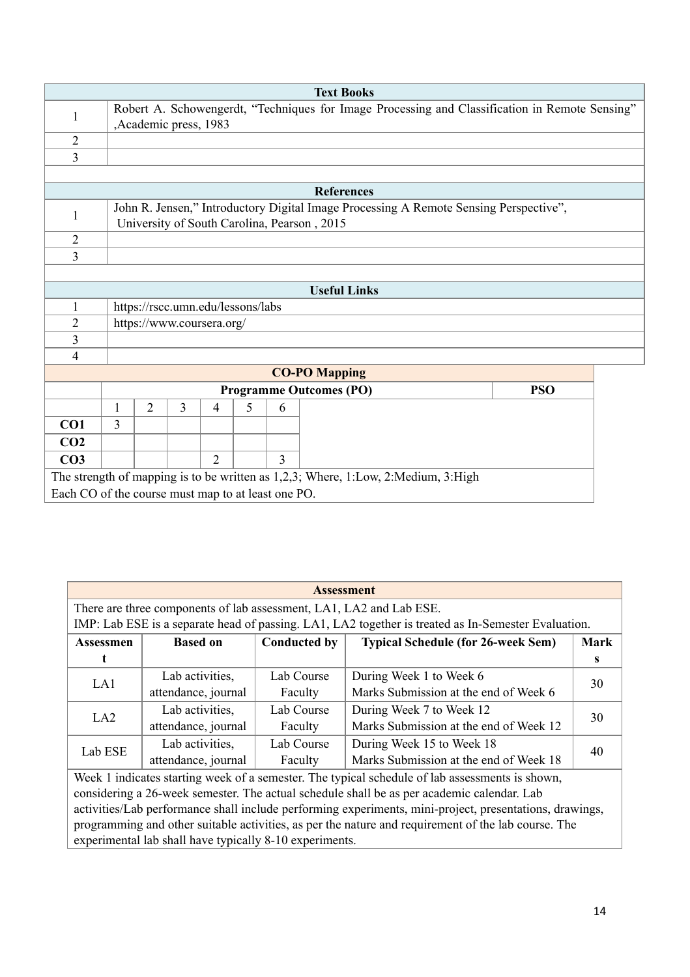|                                                    |   |                                                                                                                         |                                   |                |   |   | <b>Text Books</b>                                                                                                                    |            |  |
|----------------------------------------------------|---|-------------------------------------------------------------------------------------------------------------------------|-----------------------------------|----------------|---|---|--------------------------------------------------------------------------------------------------------------------------------------|------------|--|
| 1                                                  |   | Robert A. Schowengerdt, "Techniques for Image Processing and Classification in Remote Sensing"<br>,Academic press, 1983 |                                   |                |   |   |                                                                                                                                      |            |  |
| $\overline{2}$                                     |   |                                                                                                                         |                                   |                |   |   |                                                                                                                                      |            |  |
| $\overline{3}$                                     |   |                                                                                                                         |                                   |                |   |   |                                                                                                                                      |            |  |
|                                                    |   |                                                                                                                         |                                   |                |   |   |                                                                                                                                      |            |  |
|                                                    |   |                                                                                                                         |                                   |                |   |   | <b>References</b>                                                                                                                    |            |  |
| 1                                                  |   |                                                                                                                         |                                   |                |   |   | John R. Jensen," Introductory Digital Image Processing A Remote Sensing Perspective",<br>University of South Carolina, Pearson, 2015 |            |  |
| $\overline{2}$                                     |   |                                                                                                                         |                                   |                |   |   |                                                                                                                                      |            |  |
| $\overline{3}$                                     |   |                                                                                                                         |                                   |                |   |   |                                                                                                                                      |            |  |
|                                                    |   |                                                                                                                         |                                   |                |   |   |                                                                                                                                      |            |  |
|                                                    |   |                                                                                                                         |                                   |                |   |   | <b>Useful Links</b>                                                                                                                  |            |  |
| 1                                                  |   |                                                                                                                         | https://rscc.umn.edu/lessons/labs |                |   |   |                                                                                                                                      |            |  |
| $\overline{2}$                                     |   |                                                                                                                         | https://www.coursera.org/         |                |   |   |                                                                                                                                      |            |  |
| $\overline{3}$                                     |   |                                                                                                                         |                                   |                |   |   |                                                                                                                                      |            |  |
| $\overline{4}$                                     |   |                                                                                                                         |                                   |                |   |   |                                                                                                                                      |            |  |
|                                                    |   |                                                                                                                         |                                   |                |   |   | <b>CO-PO Mapping</b>                                                                                                                 |            |  |
|                                                    |   |                                                                                                                         |                                   |                |   |   | <b>Programme Outcomes (PO)</b>                                                                                                       | <b>PSO</b> |  |
|                                                    | 1 | $\overline{2}$                                                                                                          | 3                                 | $\overline{4}$ | 5 | 6 |                                                                                                                                      |            |  |
| CO1                                                | 3 |                                                                                                                         |                                   |                |   |   |                                                                                                                                      |            |  |
| CO <sub>2</sub>                                    |   |                                                                                                                         |                                   |                |   |   |                                                                                                                                      |            |  |
| CO <sub>3</sub>                                    |   |                                                                                                                         |                                   | $\overline{2}$ |   | 3 |                                                                                                                                      |            |  |
|                                                    |   |                                                                                                                         |                                   |                |   |   | The strength of mapping is to be written as 1,2,3; Where, 1:Low, 2:Medium, 3:High                                                    |            |  |
| Each CO of the course must map to at least one PO. |   |                                                                                                                         |                                   |                |   |   |                                                                                                                                      |            |  |

|           |                                                                     |                     | <b>Assessment</b>                                                                                       |             |
|-----------|---------------------------------------------------------------------|---------------------|---------------------------------------------------------------------------------------------------------|-------------|
|           | There are three components of lab assessment, LA1, LA2 and Lab ESE. |                     |                                                                                                         |             |
|           |                                                                     |                     | IMP: Lab ESE is a separate head of passing. LA1, LA2 together is treated as In-Semester Evaluation.     |             |
| Assessmen | <b>Based on</b>                                                     | <b>Conducted by</b> | <b>Typical Schedule (for 26-week Sem)</b>                                                               | <b>Mark</b> |
|           |                                                                     |                     |                                                                                                         | S           |
| LA1       | Lab activities,                                                     | Lab Course          | During Week 1 to Week 6                                                                                 | 30          |
|           | attendance, journal                                                 | Faculty             | Marks Submission at the end of Week 6                                                                   |             |
| LA2       | Lab activities,                                                     | Lab Course          | During Week 7 to Week 12                                                                                | 30          |
|           | attendance, journal                                                 | Faculty             | Marks Submission at the end of Week 12                                                                  |             |
| Lab ESE   | Lab activities,                                                     | Lab Course          | During Week 15 to Week 18                                                                               | 40          |
|           | attendance, journal                                                 | Faculty             | Marks Submission at the end of Week 18                                                                  |             |
|           |                                                                     |                     | Week 1 indicates starting week of a semester. The typical schedule of lab assessments is shown,         |             |
|           |                                                                     |                     | considering a 26-week semester. The actual schedule shall be as per academic calendar. Lab              |             |
|           |                                                                     |                     | activities/Lab performance shall include performing experiments, mini-project, presentations, drawings, |             |
|           |                                                                     |                     | programming and other suitable activities, as per the nature and requirement of the lab course. The     |             |
|           | experimental lab shall have typically 8-10 experiments.             |                     |                                                                                                         |             |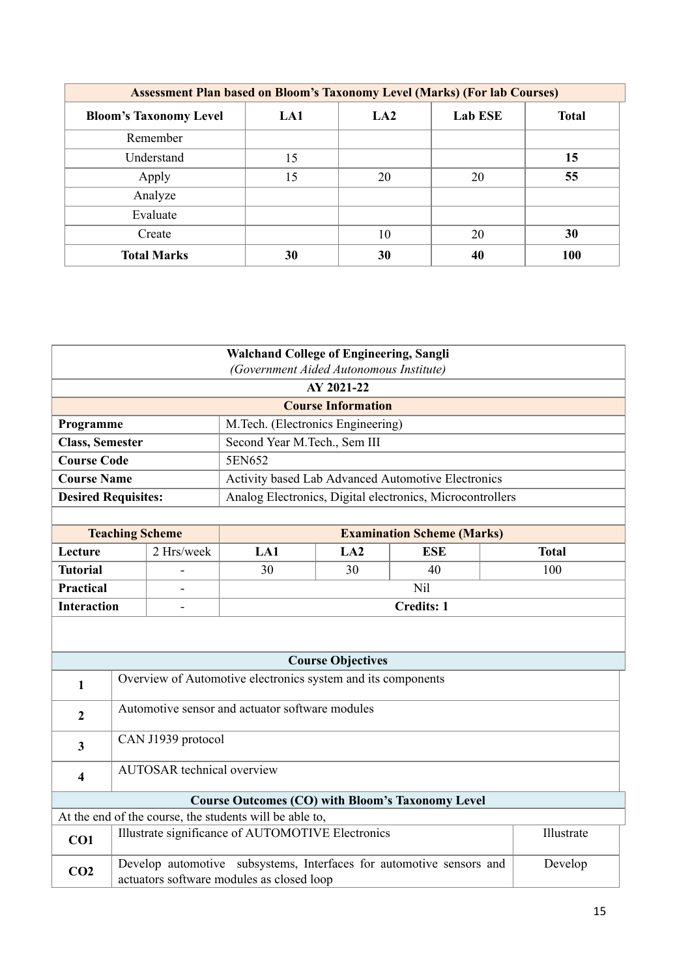|                               | <b>Assessment Plan based on Bloom's Taxonomy Level (Marks) (For lab Courses)</b> |                 |                |              |  |  |
|-------------------------------|----------------------------------------------------------------------------------|-----------------|----------------|--------------|--|--|
| <b>Bloom's Taxonomy Level</b> | LA1                                                                              | LA <sub>2</sub> | <b>Lab ESE</b> | <b>Total</b> |  |  |
| Remember                      |                                                                                  |                 |                |              |  |  |
| Understand                    | 15                                                                               |                 |                | 15           |  |  |
| Apply                         | 15                                                                               | 20              | 20             | 55           |  |  |
| Analyze                       |                                                                                  |                 |                |              |  |  |
| Evaluate                      |                                                                                  |                 |                |              |  |  |
| Create                        |                                                                                  | 10              | 20             | 30           |  |  |
| <b>Total Marks</b>            | 30                                                                               | 30              | 40             | <b>100</b>   |  |  |

|                            |                        |                                   | <b>Walchand College of Engineering, Sangli</b>               |                           |                                                                      |              |  |  |
|----------------------------|------------------------|-----------------------------------|--------------------------------------------------------------|---------------------------|----------------------------------------------------------------------|--------------|--|--|
|                            |                        |                                   | (Government Aided Autonomous Institute)                      |                           |                                                                      |              |  |  |
|                            | AY 2021-22             |                                   |                                                              |                           |                                                                      |              |  |  |
|                            |                        |                                   |                                                              | <b>Course Information</b> |                                                                      |              |  |  |
| Programme                  |                        |                                   | M.Tech. (Electronics Engineering)                            |                           |                                                                      |              |  |  |
| <b>Class, Semester</b>     |                        |                                   | Second Year M.Tech., Sem III                                 |                           |                                                                      |              |  |  |
| <b>Course Code</b>         |                        |                                   | 5EN652                                                       |                           |                                                                      |              |  |  |
| <b>Course Name</b>         |                        |                                   |                                                              |                           | Activity based Lab Advanced Automotive Electronics                   |              |  |  |
| <b>Desired Requisites:</b> |                        |                                   |                                                              |                           | Analog Electronics, Digital electronics, Microcontrollers            |              |  |  |
|                            |                        |                                   |                                                              |                           |                                                                      |              |  |  |
|                            | <b>Teaching Scheme</b> |                                   |                                                              |                           | <b>Examination Scheme (Marks)</b>                                    |              |  |  |
| Lecture                    |                        | 2 Hrs/week                        | LA1                                                          | LA2                       | <b>ESE</b>                                                           | <b>Total</b> |  |  |
| <b>Tutorial</b>            |                        |                                   | 30                                                           | 30                        | 40                                                                   | 100          |  |  |
| <b>Practical</b>           |                        |                                   |                                                              |                           | Nil                                                                  |              |  |  |
| <b>Interaction</b>         |                        |                                   | <b>Credits: 1</b>                                            |                           |                                                                      |              |  |  |
|                            |                        |                                   |                                                              |                           |                                                                      |              |  |  |
|                            |                        |                                   |                                                              | <b>Course Objectives</b>  |                                                                      |              |  |  |
| 1                          |                        |                                   | Overview of Automotive electronics system and its components |                           |                                                                      |              |  |  |
| $\overline{2}$             |                        |                                   | Automotive sensor and actuator software modules              |                           |                                                                      |              |  |  |
| $\overline{\mathbf{3}}$    |                        | CAN J1939 protocol                |                                                              |                           |                                                                      |              |  |  |
| $\overline{\mathbf{4}}$    |                        | <b>AUTOSAR</b> technical overview |                                                              |                           |                                                                      |              |  |  |
|                            |                        |                                   |                                                              |                           | <b>Course Outcomes (CO) with Bloom's Taxonomy Level</b>              |              |  |  |
|                            |                        |                                   | At the end of the course, the students will be able to,      |                           |                                                                      |              |  |  |
| CO1                        |                        |                                   | Illustrate significance of AUTOMOTIVE Electronics            |                           |                                                                      | Illustrate   |  |  |
| CO <sub>2</sub>            |                        |                                   | actuators software modules as closed loop                    |                           | Develop automotive subsystems, Interfaces for automotive sensors and | Develop      |  |  |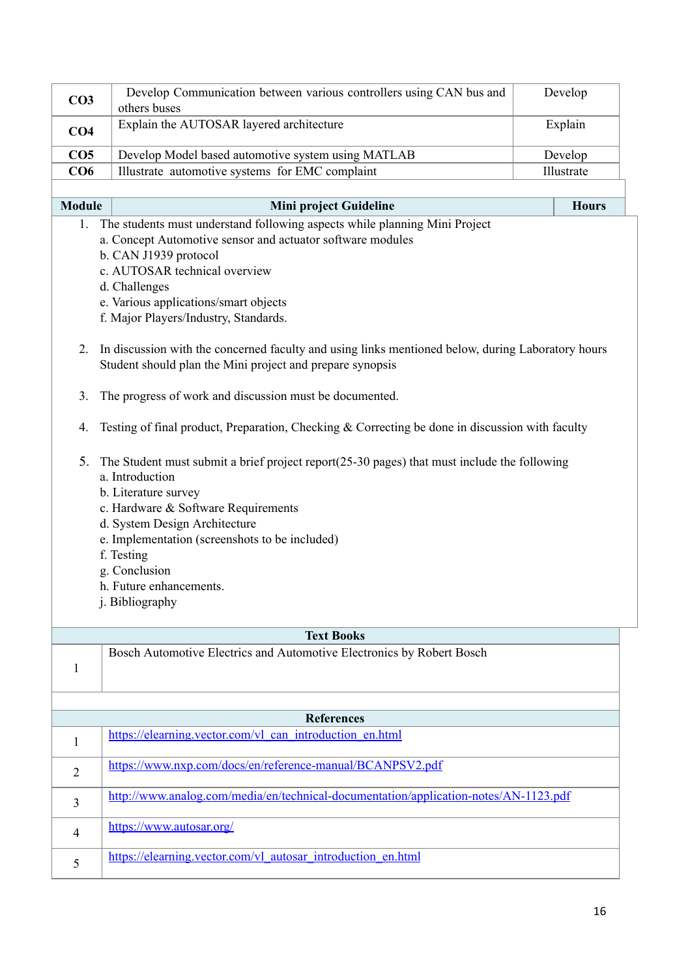| CO <sub>3</sub>        | Develop Communication between various controllers using CAN bus and<br>others buses                                                                                                                                                                                                                                                               | Develop               |
|------------------------|---------------------------------------------------------------------------------------------------------------------------------------------------------------------------------------------------------------------------------------------------------------------------------------------------------------------------------------------------|-----------------------|
| CO <sub>4</sub>        | Explain the AUTOSAR layered architecture                                                                                                                                                                                                                                                                                                          | Explain               |
|                        |                                                                                                                                                                                                                                                                                                                                                   |                       |
| CO <sub>5</sub><br>CO6 | Develop Model based automotive system using MATLAB<br>Illustrate automotive systems for EMC complaint                                                                                                                                                                                                                                             | Develop<br>Illustrate |
|                        |                                                                                                                                                                                                                                                                                                                                                   |                       |
| <b>Module</b>          | Mini project Guideline                                                                                                                                                                                                                                                                                                                            | <b>Hours</b>          |
| 1.                     | The students must understand following aspects while planning Mini Project                                                                                                                                                                                                                                                                        |                       |
|                        | a. Concept Automotive sensor and actuator software modules                                                                                                                                                                                                                                                                                        |                       |
|                        | b. CAN J1939 protocol                                                                                                                                                                                                                                                                                                                             |                       |
|                        | c. AUTOSAR technical overview                                                                                                                                                                                                                                                                                                                     |                       |
|                        | d. Challenges                                                                                                                                                                                                                                                                                                                                     |                       |
|                        | e. Various applications/smart objects                                                                                                                                                                                                                                                                                                             |                       |
|                        | f. Major Players/Industry, Standards.                                                                                                                                                                                                                                                                                                             |                       |
| 2.                     | In discussion with the concerned faculty and using links mentioned below, during Laboratory hours<br>Student should plan the Mini project and prepare synopsis                                                                                                                                                                                    |                       |
| 3.                     | The progress of work and discussion must be documented.                                                                                                                                                                                                                                                                                           |                       |
| 4.                     | Testing of final product, Preparation, Checking & Correcting be done in discussion with faculty                                                                                                                                                                                                                                                   |                       |
| 5.                     | The Student must submit a brief project report $(25-30)$ pages) that must include the following<br>a. Introduction<br>b. Literature survey<br>c. Hardware & Software Requirements<br>d. System Design Architecture<br>e. Implementation (screenshots to be included)<br>f. Testing<br>g. Conclusion<br>h. Future enhancements.<br>j. Bibliography |                       |
|                        | <b>Text Books</b>                                                                                                                                                                                                                                                                                                                                 |                       |
| $\mathbf{1}$           | Bosch Automotive Electrics and Automotive Electronics by Robert Bosch                                                                                                                                                                                                                                                                             |                       |
|                        | <b>References</b>                                                                                                                                                                                                                                                                                                                                 |                       |
|                        | https://elearning.vector.com/vl can introduction en.html                                                                                                                                                                                                                                                                                          |                       |
| $\mathbf{1}$           |                                                                                                                                                                                                                                                                                                                                                   |                       |
| $\overline{2}$         | https://www.nxp.com/docs/en/reference-manual/BCANPSV2.pdf                                                                                                                                                                                                                                                                                         |                       |
| 3                      | http://www.analog.com/media/en/technical-documentation/application-notes/AN-1123.pdf                                                                                                                                                                                                                                                              |                       |
| $\overline{4}$         | https://www.autosar.org/                                                                                                                                                                                                                                                                                                                          |                       |
| 5                      | https://elearning.vector.com/vl autosar introduction en.html                                                                                                                                                                                                                                                                                      |                       |
|                        |                                                                                                                                                                                                                                                                                                                                                   |                       |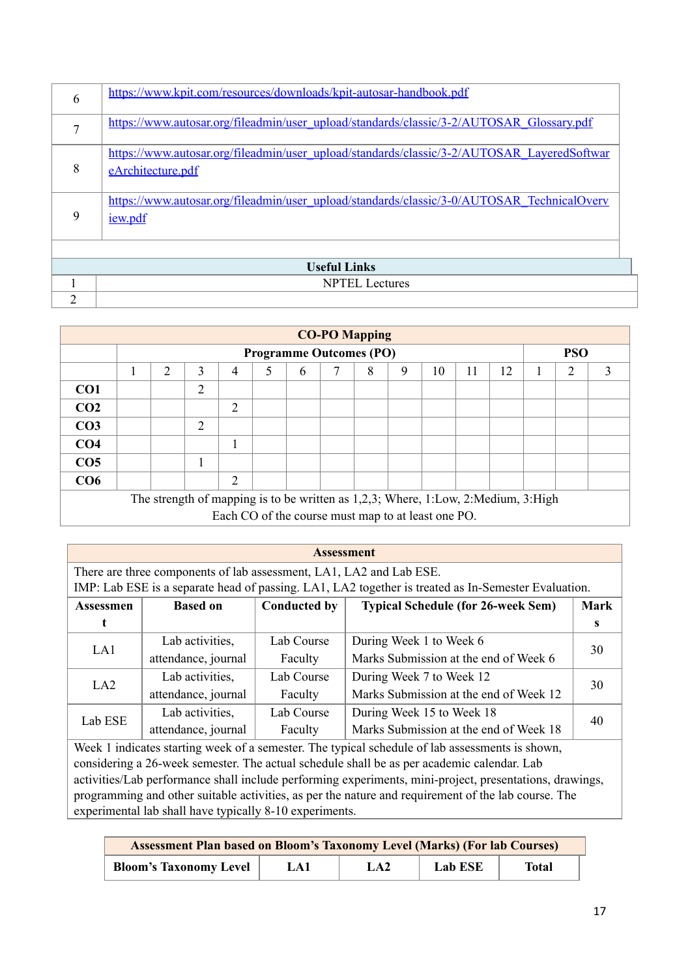| 6             | https://www.kpit.com/resources/downloads/kpit-autosar-handbook.pdf                                              |
|---------------|-----------------------------------------------------------------------------------------------------------------|
| $\mathcal{I}$ | https://www.autosar.org/fileadmin/user_upload/standards/classic/3-2/AUTOSAR_Glossary.pdf                        |
| 8             | https://www.autosar.org/fileadmin/user_upload/standards/classic/3-2/AUTOSAR_LayeredSoftwar<br>eArchitecture.pdf |
| 9             | https://www.autosar.org/fileadmin/user_upload/standards/classic/3-0/AUTOSAR_TechnicalOvery<br><i>iew.pdf</i>    |
|               |                                                                                                                 |
|               | <b>Useful Links</b>                                                                                             |
|               | <b>NPTEL</b> Lectures                                                                                           |
| ↑             |                                                                                                                 |

|                 | <b>CO-PO Mapping</b>                                                              |                                              |                |                |   |   |  |   |   |    |    |    |   |   |
|-----------------|-----------------------------------------------------------------------------------|----------------------------------------------|----------------|----------------|---|---|--|---|---|----|----|----|---|---|
|                 |                                                                                   | <b>PSO</b><br><b>Programme Outcomes (PO)</b> |                |                |   |   |  |   |   |    |    |    |   |   |
|                 |                                                                                   | 2                                            | 3              | $\overline{4}$ | 5 | 6 |  | 8 | 9 | 10 | 11 | 12 | ∍ | 3 |
| CO <sub>1</sub> |                                                                                   |                                              | $\overline{2}$ |                |   |   |  |   |   |    |    |    |   |   |
| CO <sub>2</sub> |                                                                                   |                                              |                | $\overline{2}$ |   |   |  |   |   |    |    |    |   |   |
| CO <sub>3</sub> |                                                                                   |                                              | $\overline{2}$ |                |   |   |  |   |   |    |    |    |   |   |
| CO <sub>4</sub> |                                                                                   |                                              |                |                |   |   |  |   |   |    |    |    |   |   |
| CO <sub>5</sub> |                                                                                   |                                              | 1              |                |   |   |  |   |   |    |    |    |   |   |
| CO6             | 2                                                                                 |                                              |                |                |   |   |  |   |   |    |    |    |   |   |
|                 | The strength of mapping is to be written as 1,2,3; Where, 1:Low, 2:Medium, 3:High |                                              |                |                |   |   |  |   |   |    |    |    |   |   |
|                 | Each CO of the course must map to at least one PO.                                |                                              |                |                |   |   |  |   |   |    |    |    |   |   |

| <b>Assessment</b>                                                                                                                                                          |                                                         |                     |                                           |             |  |  |
|----------------------------------------------------------------------------------------------------------------------------------------------------------------------------|---------------------------------------------------------|---------------------|-------------------------------------------|-------------|--|--|
| There are three components of lab assessment, LA1, LA2 and Lab ESE.<br>IMP: Lab ESE is a separate head of passing. LA1, LA2 together is treated as In-Semester Evaluation. |                                                         |                     |                                           |             |  |  |
|                                                                                                                                                                            |                                                         |                     |                                           |             |  |  |
| <b>Assessmen</b>                                                                                                                                                           | <b>Based on</b>                                         | <b>Conducted by</b> | <b>Typical Schedule (for 26-week Sem)</b> | <b>Mark</b> |  |  |
|                                                                                                                                                                            |                                                         |                     |                                           | s           |  |  |
| Lab activities,<br>LA1                                                                                                                                                     |                                                         | Lab Course          | During Week 1 to Week 6                   | 30          |  |  |
|                                                                                                                                                                            | attendance, journal                                     | Faculty             | Marks Submission at the end of Week 6     |             |  |  |
| LA2                                                                                                                                                                        | Lab activities,                                         | Lab Course          | During Week 7 to Week 12                  | 30          |  |  |
|                                                                                                                                                                            | attendance, journal                                     | Faculty             | Marks Submission at the end of Week 12    |             |  |  |
| Lab ESE                                                                                                                                                                    | Lab activities,                                         | Lab Course          | During Week 15 to Week 18                 | 40          |  |  |
|                                                                                                                                                                            | attendance, journal                                     | Faculty             | Marks Submission at the end of Week 18    |             |  |  |
| Week 1 indicates starting week of a semester. The typical schedule of lab assessments is shown,                                                                            |                                                         |                     |                                           |             |  |  |
| considering a 26-week semester. The actual schedule shall be as per academic calendar. Lab                                                                                 |                                                         |                     |                                           |             |  |  |
| activities/Lab performance shall include performing experiments, mini-project, presentations, drawings,                                                                    |                                                         |                     |                                           |             |  |  |
| programming and other suitable activities, as per the nature and requirement of the lab course. The                                                                        |                                                         |                     |                                           |             |  |  |
|                                                                                                                                                                            | experimental lab shall have typically 8-10 experiments. |                     |                                           |             |  |  |

| <b>Assessment Plan based on Bloom's Taxonomy Level (Marks) (For lab Courses)</b> |     |     |         |       |  |  |
|----------------------------------------------------------------------------------|-----|-----|---------|-------|--|--|
| <b>Bloom's Taxonomy Level</b>                                                    | LA1 | LA2 | Lab ESE | Total |  |  |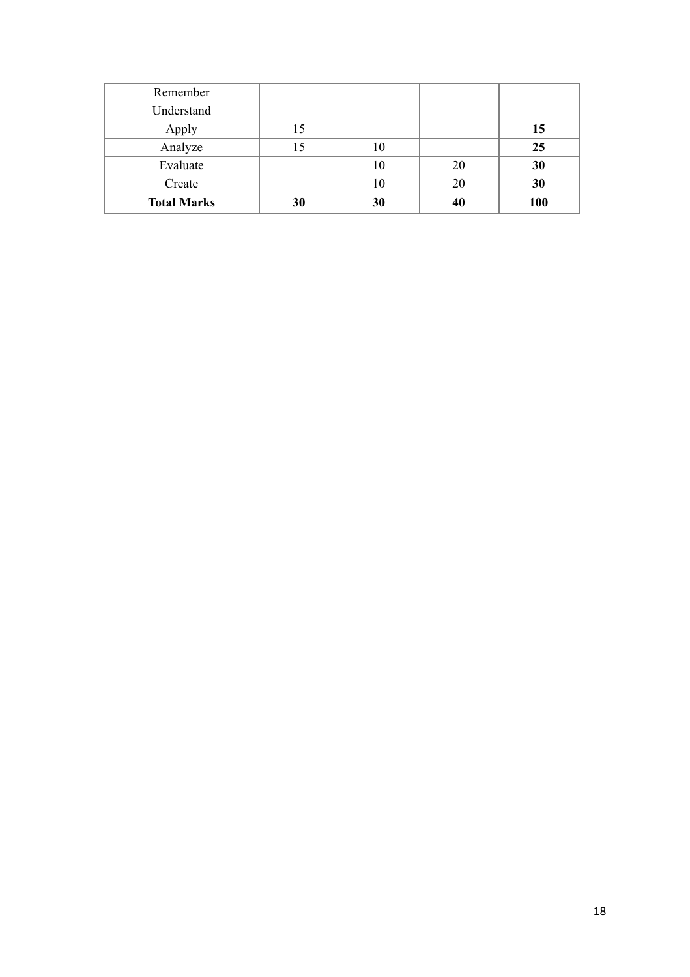| Remember           |    |    |    |     |
|--------------------|----|----|----|-----|
| Understand         |    |    |    |     |
| Apply              |    |    |    | 15  |
| Analyze            |    | 10 |    | 25  |
| Evaluate           |    | 10 | 20 | 30  |
| Create             |    | 10 | 20 | 30  |
| <b>Total Marks</b> | 30 | 30 | 40 | 100 |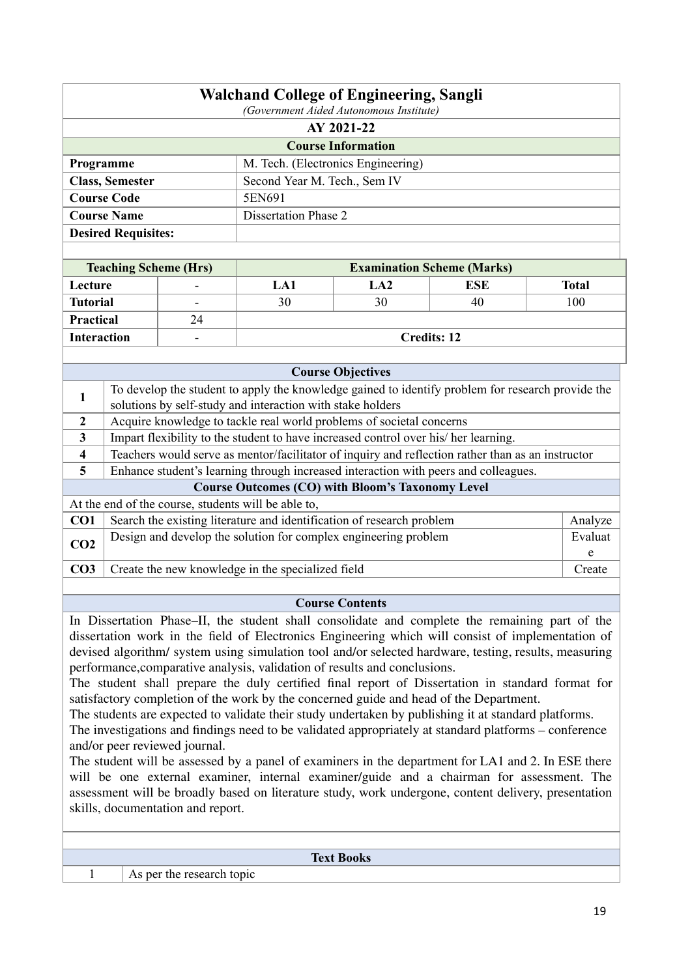|                                                                                                                                           | <b>Walchand College of Engineering, Sangli</b><br>(Government Aided Autonomous Institute) |                               |                                                                                                       |                                    |                                   |              |  |  |  |  |  |
|-------------------------------------------------------------------------------------------------------------------------------------------|-------------------------------------------------------------------------------------------|-------------------------------|-------------------------------------------------------------------------------------------------------|------------------------------------|-----------------------------------|--------------|--|--|--|--|--|
|                                                                                                                                           |                                                                                           |                               |                                                                                                       | AY 2021-22                         |                                   |              |  |  |  |  |  |
|                                                                                                                                           |                                                                                           |                               |                                                                                                       | <b>Course Information</b>          |                                   |              |  |  |  |  |  |
| Programme                                                                                                                                 |                                                                                           |                               |                                                                                                       | M. Tech. (Electronics Engineering) |                                   |              |  |  |  |  |  |
|                                                                                                                                           | <b>Class, Semester</b>                                                                    |                               |                                                                                                       | Second Year M. Tech., Sem IV       |                                   |              |  |  |  |  |  |
|                                                                                                                                           | <b>Course Code</b>                                                                        |                               | 5EN691                                                                                                |                                    |                                   |              |  |  |  |  |  |
|                                                                                                                                           | <b>Course Name</b>                                                                        |                               | <b>Dissertation Phase 2</b>                                                                           |                                    |                                   |              |  |  |  |  |  |
|                                                                                                                                           | <b>Desired Requisites:</b>                                                                |                               |                                                                                                       |                                    |                                   |              |  |  |  |  |  |
|                                                                                                                                           |                                                                                           |                               |                                                                                                       |                                    |                                   |              |  |  |  |  |  |
|                                                                                                                                           |                                                                                           | <b>Teaching Scheme (Hrs)</b>  |                                                                                                       |                                    | <b>Examination Scheme (Marks)</b> |              |  |  |  |  |  |
| Lecture                                                                                                                                   |                                                                                           |                               | LA1                                                                                                   | LA2                                | <b>ESE</b>                        | <b>Total</b> |  |  |  |  |  |
| <b>Tutorial</b>                                                                                                                           |                                                                                           |                               | 30                                                                                                    | 30                                 | 40                                | 100          |  |  |  |  |  |
| Practical                                                                                                                                 |                                                                                           | 24                            |                                                                                                       |                                    |                                   |              |  |  |  |  |  |
| <b>Interaction</b>                                                                                                                        |                                                                                           |                               |                                                                                                       |                                    | <b>Credits: 12</b>                |              |  |  |  |  |  |
|                                                                                                                                           |                                                                                           |                               |                                                                                                       |                                    |                                   |              |  |  |  |  |  |
|                                                                                                                                           |                                                                                           |                               |                                                                                                       | <b>Course Objectives</b>           |                                   |              |  |  |  |  |  |
|                                                                                                                                           |                                                                                           |                               | To develop the student to apply the knowledge gained to identify problem for research provide the     |                                    |                                   |              |  |  |  |  |  |
| 1                                                                                                                                         |                                                                                           |                               | solutions by self-study and interaction with stake holders                                            |                                    |                                   |              |  |  |  |  |  |
| $\mathbf{2}$                                                                                                                              |                                                                                           |                               | Acquire knowledge to tackle real world problems of societal concerns                                  |                                    |                                   |              |  |  |  |  |  |
| 3                                                                                                                                         |                                                                                           |                               | Impart flexibility to the student to have increased control over his/ her learning.                   |                                    |                                   |              |  |  |  |  |  |
| 4                                                                                                                                         |                                                                                           |                               | Teachers would serve as mentor/facilitator of inquiry and reflection rather than as an instructor     |                                    |                                   |              |  |  |  |  |  |
| 5                                                                                                                                         |                                                                                           |                               | Enhance student's learning through increased interaction with peers and colleagues.                   |                                    |                                   |              |  |  |  |  |  |
|                                                                                                                                           |                                                                                           |                               | <b>Course Outcomes (CO) with Bloom's Taxonomy Level</b>                                               |                                    |                                   |              |  |  |  |  |  |
|                                                                                                                                           |                                                                                           |                               | At the end of the course, students will be able to,                                                   |                                    |                                   |              |  |  |  |  |  |
| CO1                                                                                                                                       |                                                                                           |                               | Search the existing literature and identification of research problem                                 |                                    |                                   | Analyze      |  |  |  |  |  |
|                                                                                                                                           |                                                                                           |                               | Design and develop the solution for complex engineering problem                                       |                                    |                                   | Evaluat      |  |  |  |  |  |
| CO <sub>2</sub>                                                                                                                           |                                                                                           |                               |                                                                                                       |                                    |                                   | e            |  |  |  |  |  |
| CO <sub>3</sub>                                                                                                                           |                                                                                           |                               | Create the new knowledge in the specialized field                                                     |                                    |                                   | Create       |  |  |  |  |  |
|                                                                                                                                           |                                                                                           |                               |                                                                                                       |                                    |                                   |              |  |  |  |  |  |
| <b>Course Contents</b>                                                                                                                    |                                                                                           |                               |                                                                                                       |                                    |                                   |              |  |  |  |  |  |
| In Dissertation Phase–II, the student shall consolidate and complete the remaining part of the                                            |                                                                                           |                               |                                                                                                       |                                    |                                   |              |  |  |  |  |  |
|                                                                                                                                           |                                                                                           |                               | dissertation work in the field of Electronics Engineering which will consist of implementation of     |                                    |                                   |              |  |  |  |  |  |
|                                                                                                                                           |                                                                                           |                               | devised algorithm/ system using simulation tool and/or selected hardware, testing, results, measuring |                                    |                                   |              |  |  |  |  |  |
|                                                                                                                                           |                                                                                           |                               | performance, comparative analysis, validation of results and conclusions.                             |                                    |                                   |              |  |  |  |  |  |
|                                                                                                                                           |                                                                                           |                               | The student shall prepare the duly certified final report of Dissertation in standard format for      |                                    |                                   |              |  |  |  |  |  |
|                                                                                                                                           |                                                                                           |                               | satisfactory completion of the work by the concerned guide and head of the Department.                |                                    |                                   |              |  |  |  |  |  |
|                                                                                                                                           |                                                                                           |                               | The students are expected to validate their study undertaken by publishing it at standard platforms.  |                                    |                                   |              |  |  |  |  |  |
| The investigations and findings need to be validated appropriately at standard platforms – conference                                     |                                                                                           |                               |                                                                                                       |                                    |                                   |              |  |  |  |  |  |
|                                                                                                                                           |                                                                                           | and/or peer reviewed journal. |                                                                                                       |                                    |                                   |              |  |  |  |  |  |
|                                                                                                                                           |                                                                                           |                               | The student will be assessed by a panel of examiners in the department for LA1 and 2. In ESE there    |                                    |                                   |              |  |  |  |  |  |
|                                                                                                                                           |                                                                                           |                               | will be one external examiner, internal examiner/guide and a chairman for assessment. The             |                                    |                                   |              |  |  |  |  |  |
| assessment will be broadly based on literature study, work undergone, content delivery, presentation<br>skills, documentation and report. |                                                                                           |                               |                                                                                                       |                                    |                                   |              |  |  |  |  |  |
|                                                                                                                                           |                                                                                           |                               |                                                                                                       |                                    |                                   |              |  |  |  |  |  |
|                                                                                                                                           |                                                                                           |                               |                                                                                                       |                                    |                                   |              |  |  |  |  |  |
| <b>Text Books</b>                                                                                                                         |                                                                                           |                               |                                                                                                       |                                    |                                   |              |  |  |  |  |  |
| 1                                                                                                                                         | As per the research topic                                                                 |                               |                                                                                                       |                                    |                                   |              |  |  |  |  |  |
|                                                                                                                                           |                                                                                           |                               |                                                                                                       |                                    |                                   |              |  |  |  |  |  |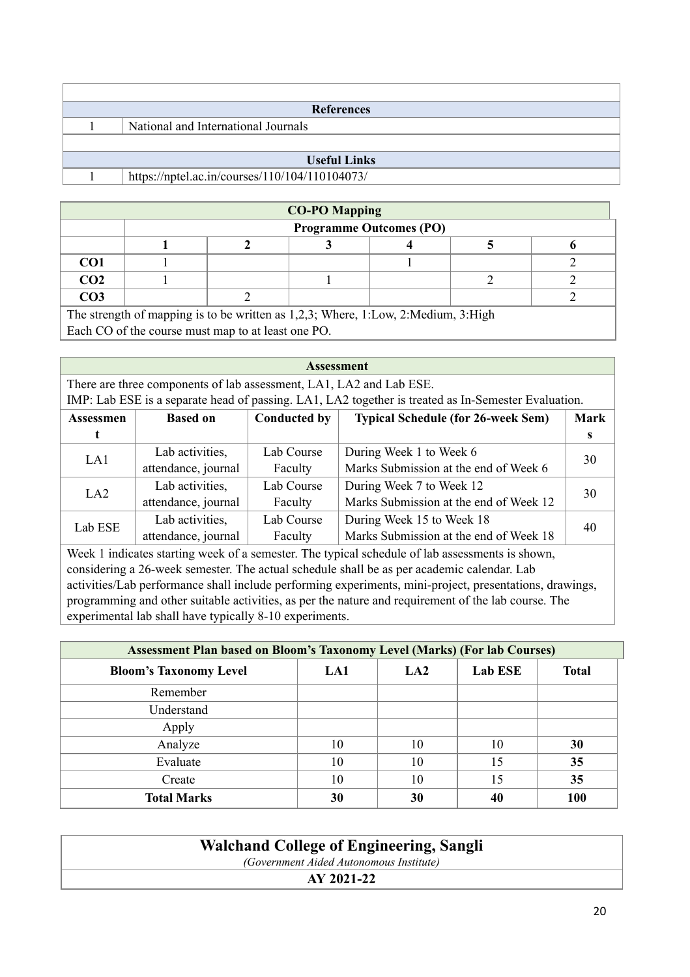| <b>References</b>                   |                                                |  |  |  |
|-------------------------------------|------------------------------------------------|--|--|--|
| National and International Journals |                                                |  |  |  |
|                                     |                                                |  |  |  |
| <b>Useful Links</b>                 |                                                |  |  |  |
|                                     | https://nptel.ac.in/courses/110/104/110104073/ |  |  |  |

| <b>CO-PO Mapping</b> |                                                                                                   |  |  |  |  |  |  |
|----------------------|---------------------------------------------------------------------------------------------------|--|--|--|--|--|--|
|                      | <b>Programme Outcomes (PO)</b>                                                                    |  |  |  |  |  |  |
|                      |                                                                                                   |  |  |  |  |  |  |
| CO <sub>1</sub>      |                                                                                                   |  |  |  |  |  |  |
| CO <sub>2</sub>      |                                                                                                   |  |  |  |  |  |  |
| CO <sub>3</sub>      |                                                                                                   |  |  |  |  |  |  |
|                      | The strength of manning is to be written as $1.23 \cdot$ Where $1.1 \text{ ou } 2.0$ Medium $3.1$ |  |  |  |  |  |  |

The strength of mapping is to be written as 1,2,3; Where, 1:Low, 2:Medium, 3:High Each CO of the course must map to at least one PO.

| <b>Assessment</b>                                                                                   |                                                                                     |            |                                        |    |  |  |  |
|-----------------------------------------------------------------------------------------------------|-------------------------------------------------------------------------------------|------------|----------------------------------------|----|--|--|--|
| There are three components of lab assessment, LA1, LA2 and Lab ESE.                                 |                                                                                     |            |                                        |    |  |  |  |
| IMP: Lab ESE is a separate head of passing. LA1, LA2 together is treated as In-Semester Evaluation. |                                                                                     |            |                                        |    |  |  |  |
| <b>Assessmen</b>                                                                                    | <b>Typical Schedule (for 26-week Sem)</b><br><b>Conducted by</b><br><b>Based on</b> |            |                                        |    |  |  |  |
| t                                                                                                   |                                                                                     |            |                                        | S  |  |  |  |
| LA1                                                                                                 | Lab activities,                                                                     | Lab Course | During Week 1 to Week 6                | 30 |  |  |  |
|                                                                                                     | attendance, journal                                                                 | Faculty    | Marks Submission at the end of Week 6  |    |  |  |  |
| LA2                                                                                                 | Lab activities,                                                                     | Lab Course | During Week 7 to Week 12               | 30 |  |  |  |
|                                                                                                     | attendance, journal                                                                 | Faculty    | Marks Submission at the end of Week 12 |    |  |  |  |
| Lab ESE                                                                                             | Lab activities,                                                                     | Lab Course | During Week 15 to Week 18              | 40 |  |  |  |
| attendance, journal<br>Marks Submission at the end of Week 18<br>Faculty                            |                                                                                     |            |                                        |    |  |  |  |
| Week 1 indicates starting week of a semester. The typical schedule of lab assessments is shown,     |                                                                                     |            |                                        |    |  |  |  |

considering a 26-week semester. The actual schedule shall be as per academic calendar. Lab activities/Lab performance shall include performing experiments, mini-project, presentations, drawings, programming and other suitable activities, as per the nature and requirement of the lab course. The experimental lab shall have typically 8-10 experiments.

| <b>Assessment Plan based on Bloom's Taxonomy Level (Marks) (For lab Courses)</b> |     |                 |                |              |  |  |
|----------------------------------------------------------------------------------|-----|-----------------|----------------|--------------|--|--|
| <b>Bloom's Taxonomy Level</b>                                                    | LA1 | LA <sub>2</sub> | <b>Lab ESE</b> | <b>Total</b> |  |  |
| Remember                                                                         |     |                 |                |              |  |  |
| Understand                                                                       |     |                 |                |              |  |  |
| Apply                                                                            |     |                 |                |              |  |  |
| Analyze                                                                          | 10  | 10              | 10             | 30           |  |  |
| Evaluate                                                                         | 10  | 10              | 15             | 35           |  |  |
| Create                                                                           | 10  | 10              | 15             | 35           |  |  |
| <b>Total Marks</b>                                                               | 30  | 30              | 40             | <b>100</b>   |  |  |

| <b>Walchand College of Engineering, Sangli</b> |
|------------------------------------------------|
| (Government Aided Autonomous Institute)        |
| AY 2021-22                                     |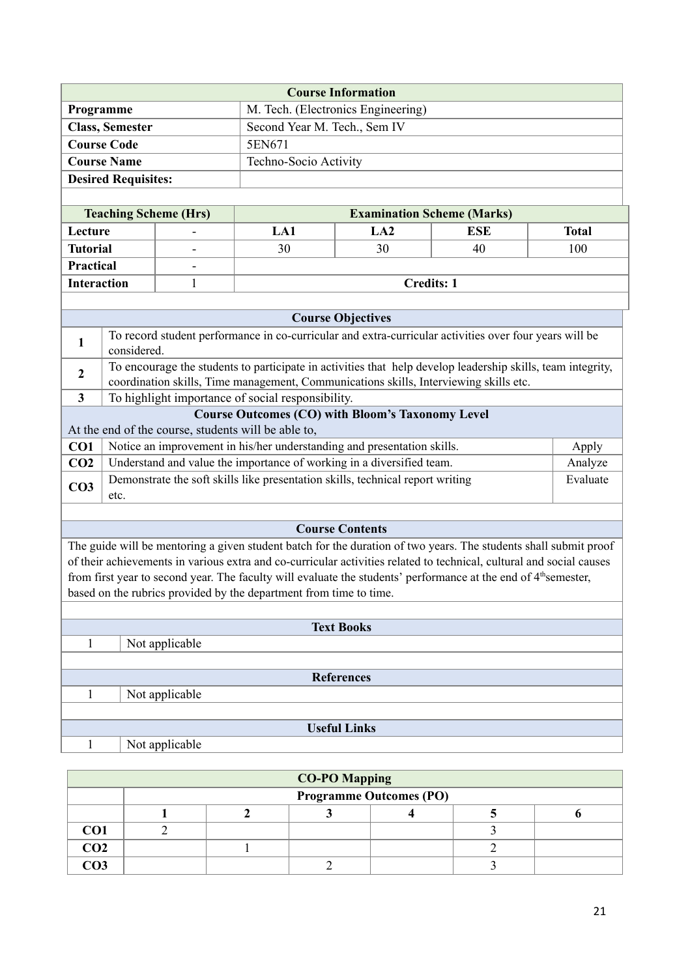| <b>Course Information</b>                              |                       |  |  |  |
|--------------------------------------------------------|-----------------------|--|--|--|
| M. Tech. (Electronics Engineering)<br><b>Programme</b> |                       |  |  |  |
| <b>Class, Semester</b><br>Second Year M. Tech., Sem IV |                       |  |  |  |
| <b>Course Code</b>                                     | 5EN671                |  |  |  |
| <b>Course Name</b>                                     | Techno-Socio Activity |  |  |  |
| <b>Desired Requisites:</b>                             |                       |  |  |  |
|                                                        |                       |  |  |  |

| <b>Teaching Scheme (Hrs)</b> |                          | <b>Examination Scheme (Marks)</b> |                   |     |              |  |  |  |  |
|------------------------------|--------------------------|-----------------------------------|-------------------|-----|--------------|--|--|--|--|
| Lecture                      | $\overline{\phantom{0}}$ | LA1                               | LA2               | ESE | <b>Total</b> |  |  |  |  |
| <b>Tutorial</b>              | $\overline{\phantom{0}}$ | 30                                | 30                | 40  | 100          |  |  |  |  |
| <b>Practical</b>             | $\overline{\phantom{0}}$ |                                   |                   |     |              |  |  |  |  |
| <b>Interaction</b>           |                          |                                   | <b>Credits: 1</b> |     |              |  |  |  |  |

|                 | <b>Course Objectives</b>                                                                                                                                                                             |          |  |  |  |  |  |
|-----------------|------------------------------------------------------------------------------------------------------------------------------------------------------------------------------------------------------|----------|--|--|--|--|--|
|                 | To record student performance in co-curricular and extra-curricular activities over four years will be<br>considered.                                                                                |          |  |  |  |  |  |
| 2               | To encourage the students to participate in activities that help develop leadership skills, team integrity,<br>coordination skills, Time management, Communications skills, Interviewing skills etc. |          |  |  |  |  |  |
| 3               | To highlight importance of social responsibility.                                                                                                                                                    |          |  |  |  |  |  |
|                 | <b>Course Outcomes (CO) with Bloom's Taxonomy Level</b>                                                                                                                                              |          |  |  |  |  |  |
|                 | At the end of the course, students will be able to,                                                                                                                                                  |          |  |  |  |  |  |
| CO <sub>1</sub> | Notice an improvement in his/her understanding and presentation skills.                                                                                                                              | Apply    |  |  |  |  |  |
| CO <sub>2</sub> | Understand and value the importance of working in a diversified team.                                                                                                                                | Analyze  |  |  |  |  |  |
| CO <sub>3</sub> | Demonstrate the soft skills like presentation skills, technical report writing<br>etc.                                                                                                               | Evaluate |  |  |  |  |  |
|                 |                                                                                                                                                                                                      |          |  |  |  |  |  |

### **Course Contents**

The guide will be mentoring a given student batch for the duration of two years. The students shall submit proof of their achievements in various extra and co-curricular activities related to technical, cultural and social causes from first year to second year. The faculty will evaluate the students' performance at the end of 4<sup>th</sup>semester, based on the rubrics provided by the department from time to time.

| <b>Text Books</b>   |  |  |  |  |  |  |  |
|---------------------|--|--|--|--|--|--|--|
| Not applicable      |  |  |  |  |  |  |  |
|                     |  |  |  |  |  |  |  |
| <b>References</b>   |  |  |  |  |  |  |  |
| Not applicable      |  |  |  |  |  |  |  |
|                     |  |  |  |  |  |  |  |
| <b>Useful Links</b> |  |  |  |  |  |  |  |
| Not applicable      |  |  |  |  |  |  |  |

| <b>CO-PO Mapping</b> |                                |  |  |  |  |  |  |  |
|----------------------|--------------------------------|--|--|--|--|--|--|--|
|                      | <b>Programme Outcomes (PO)</b> |  |  |  |  |  |  |  |
|                      |                                |  |  |  |  |  |  |  |
| CO <sub>1</sub>      |                                |  |  |  |  |  |  |  |
| CO <sub>2</sub>      |                                |  |  |  |  |  |  |  |
| CO3                  |                                |  |  |  |  |  |  |  |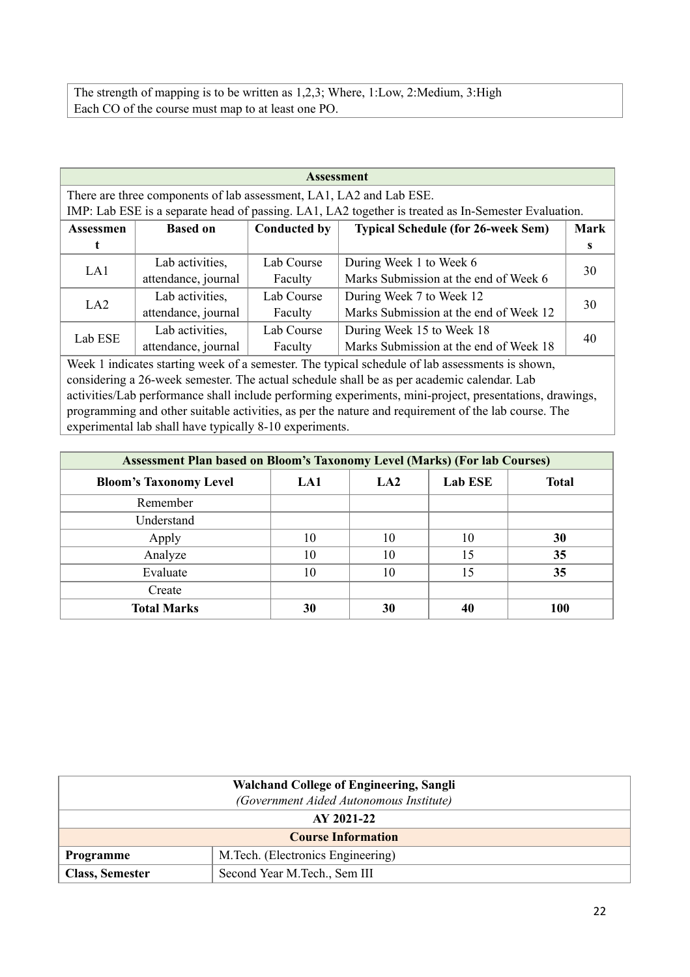The strength of mapping is to be written as 1,2,3; Where, 1:Low, 2:Medium, 3:High Each CO of the course must map to at least one PO.

| <b>Assessment</b>                                                                                       |                                                                                                     |                     |                                                                                                     |             |  |  |  |  |
|---------------------------------------------------------------------------------------------------------|-----------------------------------------------------------------------------------------------------|---------------------|-----------------------------------------------------------------------------------------------------|-------------|--|--|--|--|
| There are three components of lab assessment, LA1, LA2 and Lab ESE.                                     |                                                                                                     |                     |                                                                                                     |             |  |  |  |  |
|                                                                                                         | IMP: Lab ESE is a separate head of passing. LA1, LA2 together is treated as In-Semester Evaluation. |                     |                                                                                                     |             |  |  |  |  |
| <b>Assessmen</b>                                                                                        | <b>Based on</b>                                                                                     | <b>Conducted by</b> | <b>Typical Schedule (for 26-week Sem)</b>                                                           | <b>Mark</b> |  |  |  |  |
| t                                                                                                       |                                                                                                     |                     |                                                                                                     | S           |  |  |  |  |
| LA1                                                                                                     | Lab activities,                                                                                     | Lab Course          | During Week 1 to Week 6                                                                             | 30          |  |  |  |  |
|                                                                                                         | attendance, journal                                                                                 | Faculty             | Marks Submission at the end of Week 6                                                               |             |  |  |  |  |
| LA2                                                                                                     | Lab activities,                                                                                     | Lab Course          | During Week 7 to Week 12                                                                            | 30          |  |  |  |  |
|                                                                                                         | attendance, journal                                                                                 | Faculty             | Marks Submission at the end of Week 12                                                              |             |  |  |  |  |
| Lab ESE                                                                                                 | Lab activities,                                                                                     | Lab Course          | During Week 15 to Week 18                                                                           | 40          |  |  |  |  |
|                                                                                                         | attendance, journal                                                                                 | Faculty             | Marks Submission at the end of Week 18                                                              |             |  |  |  |  |
|                                                                                                         |                                                                                                     |                     | Week 1 indicates starting week of a semester. The typical schedule of lab assessments is shown,     |             |  |  |  |  |
|                                                                                                         | considering a 26-week semester. The actual schedule shall be as per academic calendar. Lab          |                     |                                                                                                     |             |  |  |  |  |
| activities/Lab performance shall include performing experiments, mini-project, presentations, drawings, |                                                                                                     |                     |                                                                                                     |             |  |  |  |  |
|                                                                                                         |                                                                                                     |                     | programming and other suitable activities, as per the nature and requirement of the lab course. The |             |  |  |  |  |

experimental lab shall have typically 8-10 experiments.

| <b>Assessment Plan based on Bloom's Taxonomy Level (Marks) (For lab Courses)</b> |     |                 |                |              |  |  |  |  |
|----------------------------------------------------------------------------------|-----|-----------------|----------------|--------------|--|--|--|--|
| <b>Bloom's Taxonomy Level</b>                                                    | LA1 | LA <sub>2</sub> | <b>Lab ESE</b> | <b>Total</b> |  |  |  |  |
| Remember                                                                         |     |                 |                |              |  |  |  |  |
| Understand                                                                       |     |                 |                |              |  |  |  |  |
| Apply                                                                            | 10  | 10              | 10             | 30           |  |  |  |  |
| Analyze                                                                          | 10  | 10              | 15             | 35           |  |  |  |  |
| Evaluate                                                                         | 10  | 10              | 15             | 35           |  |  |  |  |
| Create                                                                           |     |                 |                |              |  |  |  |  |
| <b>Total Marks</b>                                                               | 30  | 30              |                | <b>100</b>   |  |  |  |  |

| <b>Walchand College of Engineering, Sangli</b> |                                   |  |  |  |  |  |
|------------------------------------------------|-----------------------------------|--|--|--|--|--|
| (Government Aided Autonomous Institute)        |                                   |  |  |  |  |  |
|                                                | AY 2021-22                        |  |  |  |  |  |
|                                                | <b>Course Information</b>         |  |  |  |  |  |
| Programme                                      | M.Tech. (Electronics Engineering) |  |  |  |  |  |
| <b>Class, Semester</b>                         | Second Year M.Tech., Sem III      |  |  |  |  |  |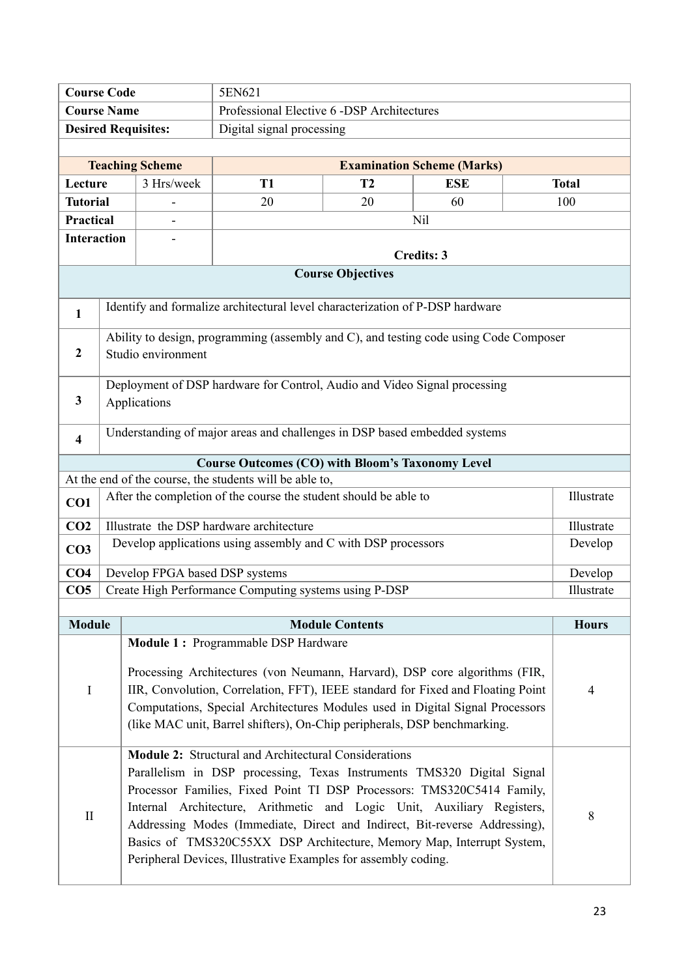|                                                                  | <b>Course Code</b><br>5EN621                                             |                        |                                                                                                                                         |                           |                                   |  |              |  |  |  |
|------------------------------------------------------------------|--------------------------------------------------------------------------|------------------------|-----------------------------------------------------------------------------------------------------------------------------------------|---------------------------|-----------------------------------|--|--------------|--|--|--|
| <b>Course Name</b><br>Professional Elective 6 -DSP Architectures |                                                                          |                        |                                                                                                                                         |                           |                                   |  |              |  |  |  |
|                                                                  | <b>Desired Requisites:</b>                                               |                        |                                                                                                                                         | Digital signal processing |                                   |  |              |  |  |  |
|                                                                  |                                                                          |                        |                                                                                                                                         |                           |                                   |  |              |  |  |  |
|                                                                  |                                                                          | <b>Teaching Scheme</b> |                                                                                                                                         |                           | <b>Examination Scheme (Marks)</b> |  |              |  |  |  |
| Lecture                                                          |                                                                          | 3 Hrs/week             | <b>T1</b>                                                                                                                               | T2                        | <b>ESE</b>                        |  | <b>Total</b> |  |  |  |
| <b>Tutorial</b>                                                  |                                                                          |                        | 20                                                                                                                                      | 20                        | 60                                |  | 100          |  |  |  |
| Practical                                                        |                                                                          |                        |                                                                                                                                         |                           | N <sub>il</sub>                   |  |              |  |  |  |
| <b>Interaction</b>                                               |                                                                          |                        |                                                                                                                                         |                           |                                   |  |              |  |  |  |
|                                                                  |                                                                          |                        |                                                                                                                                         |                           | <b>Credits: 3</b>                 |  |              |  |  |  |
|                                                                  |                                                                          |                        |                                                                                                                                         | <b>Course Objectives</b>  |                                   |  |              |  |  |  |
|                                                                  |                                                                          |                        | Identify and formalize architectural level characterization of P-DSP hardware                                                           |                           |                                   |  |              |  |  |  |
| $\mathbf{1}$                                                     |                                                                          |                        |                                                                                                                                         |                           |                                   |  |              |  |  |  |
|                                                                  |                                                                          |                        | Ability to design, programming (assembly and C), and testing code using Code Composer                                                   |                           |                                   |  |              |  |  |  |
| $\boldsymbol{2}$                                                 |                                                                          | Studio environment     |                                                                                                                                         |                           |                                   |  |              |  |  |  |
|                                                                  |                                                                          |                        | Deployment of DSP hardware for Control, Audio and Video Signal processing                                                               |                           |                                   |  |              |  |  |  |
| 3                                                                |                                                                          | Applications           |                                                                                                                                         |                           |                                   |  |              |  |  |  |
|                                                                  |                                                                          |                        |                                                                                                                                         |                           |                                   |  |              |  |  |  |
| $\overline{\mathbf{4}}$                                          |                                                                          |                        | Understanding of major areas and challenges in DSP based embedded systems                                                               |                           |                                   |  |              |  |  |  |
|                                                                  |                                                                          |                        | <b>Course Outcomes (CO) with Bloom's Taxonomy Level</b>                                                                                 |                           |                                   |  |              |  |  |  |
|                                                                  |                                                                          |                        | At the end of the course, the students will be able to,                                                                                 |                           |                                   |  |              |  |  |  |
| CO1                                                              |                                                                          |                        | After the completion of the course the student should be able to                                                                        |                           |                                   |  | Illustrate   |  |  |  |
| CO <sub>2</sub>                                                  |                                                                          |                        | Illustrate the DSP hardware architecture                                                                                                |                           |                                   |  | Illustrate   |  |  |  |
| CO <sub>3</sub>                                                  |                                                                          |                        | Develop applications using assembly and C with DSP processors                                                                           |                           |                                   |  | Develop      |  |  |  |
| CO <sub>4</sub>                                                  |                                                                          |                        | Develop FPGA based DSP systems                                                                                                          |                           |                                   |  | Develop      |  |  |  |
| CO <sub>5</sub>                                                  |                                                                          |                        | Create High Performance Computing systems using P-DSP                                                                                   |                           |                                   |  | Illustrate   |  |  |  |
| <b>Module</b>                                                    |                                                                          |                        |                                                                                                                                         | <b>Module Contents</b>    |                                   |  | <b>Hours</b> |  |  |  |
|                                                                  |                                                                          |                        | Module 1: Programmable DSP Hardware                                                                                                     |                           |                                   |  |              |  |  |  |
|                                                                  |                                                                          |                        |                                                                                                                                         |                           |                                   |  |              |  |  |  |
|                                                                  |                                                                          |                        | Processing Architectures (von Neumann, Harvard), DSP core algorithms (FIR,                                                              |                           |                                   |  |              |  |  |  |
| I                                                                |                                                                          |                        | IIR, Convolution, Correlation, FFT), IEEE standard for Fixed and Floating Point                                                         |                           |                                   |  | 4            |  |  |  |
|                                                                  |                                                                          |                        | Computations, Special Architectures Modules used in Digital Signal Processors                                                           |                           |                                   |  |              |  |  |  |
|                                                                  | (like MAC unit, Barrel shifters), On-Chip peripherals, DSP benchmarking. |                        |                                                                                                                                         |                           |                                   |  |              |  |  |  |
|                                                                  | Module 2: Structural and Architectural Considerations                    |                        |                                                                                                                                         |                           |                                   |  |              |  |  |  |
|                                                                  |                                                                          |                        | Parallelism in DSP processing, Texas Instruments TMS320 Digital Signal                                                                  |                           |                                   |  |              |  |  |  |
|                                                                  |                                                                          |                        | Processor Families, Fixed Point TI DSP Processors: TMS320C5414 Family,                                                                  |                           |                                   |  |              |  |  |  |
| $\mathbf{I}$                                                     |                                                                          |                        | Internal Architecture, Arithmetic and Logic Unit, Auxiliary Registers,                                                                  |                           |                                   |  | 8            |  |  |  |
|                                                                  |                                                                          |                        | Addressing Modes (Immediate, Direct and Indirect, Bit-reverse Addressing),                                                              |                           |                                   |  |              |  |  |  |
|                                                                  |                                                                          |                        | Basics of TMS320C55XX DSP Architecture, Memory Map, Interrupt System,<br>Peripheral Devices, Illustrative Examples for assembly coding. |                           |                                   |  |              |  |  |  |
|                                                                  |                                                                          |                        |                                                                                                                                         |                           |                                   |  |              |  |  |  |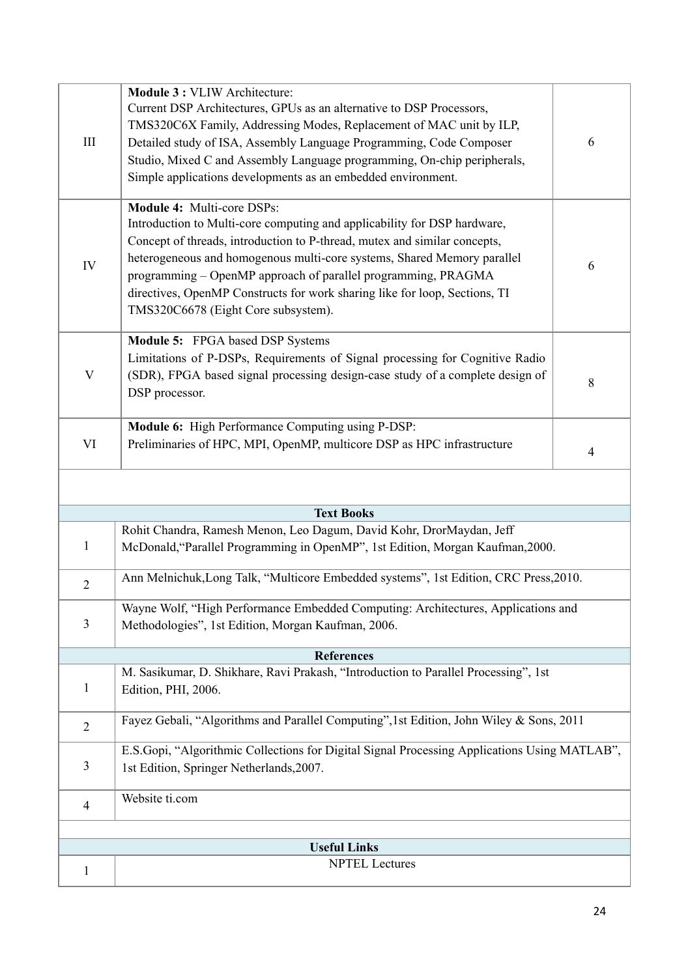| III            | Module 3 : VLIW Architecture:<br>Current DSP Architectures, GPUs as an alternative to DSP Processors,<br>TMS320C6X Family, Addressing Modes, Replacement of MAC unit by ILP,<br>Detailed study of ISA, Assembly Language Programming, Code Composer<br>Studio, Mixed C and Assembly Language programming, On-chip peripherals,<br>Simple applications developments as an embedded environment.                                                       | 6 |
|----------------|------------------------------------------------------------------------------------------------------------------------------------------------------------------------------------------------------------------------------------------------------------------------------------------------------------------------------------------------------------------------------------------------------------------------------------------------------|---|
| IV             | Module 4: Multi-core DSPs:<br>Introduction to Multi-core computing and applicability for DSP hardware,<br>Concept of threads, introduction to P-thread, mutex and similar concepts,<br>heterogeneous and homogenous multi-core systems, Shared Memory parallel<br>programming - OpenMP approach of parallel programming, PRAGMA<br>directives, OpenMP Constructs for work sharing like for loop, Sections, TI<br>TMS320C6678 (Eight Core subsystem). | 6 |
| V              | Module 5: FPGA based DSP Systems<br>Limitations of P-DSPs, Requirements of Signal processing for Cognitive Radio<br>(SDR), FPGA based signal processing design-case study of a complete design of<br>DSP processor.                                                                                                                                                                                                                                  | 8 |
| VI             | Module 6: High Performance Computing using P-DSP:<br>Preliminaries of HPC, MPI, OpenMP, multicore DSP as HPC infrastructure                                                                                                                                                                                                                                                                                                                          | 4 |
|                |                                                                                                                                                                                                                                                                                                                                                                                                                                                      |   |
|                | <b>Text Books</b>                                                                                                                                                                                                                                                                                                                                                                                                                                    |   |
| $\mathbf{1}$   | Rohit Chandra, Ramesh Menon, Leo Dagum, David Kohr, DrorMaydan, Jeff<br>McDonald, "Parallel Programming in OpenMP", 1st Edition, Morgan Kaufman, 2000.                                                                                                                                                                                                                                                                                               |   |
| $\overline{2}$ | Ann Melnichuk, Long Talk, "Multicore Embedded systems", 1st Edition, CRC Press, 2010.                                                                                                                                                                                                                                                                                                                                                                |   |
| 3              | Wayne Wolf, "High Performance Embedded Computing: Architectures, Applications and<br>Methodologies", 1st Edition, Morgan Kaufman, 2006.                                                                                                                                                                                                                                                                                                              |   |
|                | <b>References</b>                                                                                                                                                                                                                                                                                                                                                                                                                                    |   |
| $\mathbf{1}$   | M. Sasikumar, D. Shikhare, Ravi Prakash, "Introduction to Parallel Processing", 1st<br>Edition, PHI, 2006.                                                                                                                                                                                                                                                                                                                                           |   |
| $\overline{2}$ | Fayez Gebali, "Algorithms and Parallel Computing", 1st Edition, John Wiley & Sons, 2011                                                                                                                                                                                                                                                                                                                                                              |   |
| 3              | E.S.Gopi, "Algorithmic Collections for Digital Signal Processing Applications Using MATLAB",<br>1st Edition, Springer Netherlands, 2007.                                                                                                                                                                                                                                                                                                             |   |
| $\overline{4}$ | Website ti.com                                                                                                                                                                                                                                                                                                                                                                                                                                       |   |
|                |                                                                                                                                                                                                                                                                                                                                                                                                                                                      |   |
|                | <b>Useful Links</b>                                                                                                                                                                                                                                                                                                                                                                                                                                  |   |
| $\mathbf{1}$   | <b>NPTEL Lectures</b>                                                                                                                                                                                                                                                                                                                                                                                                                                |   |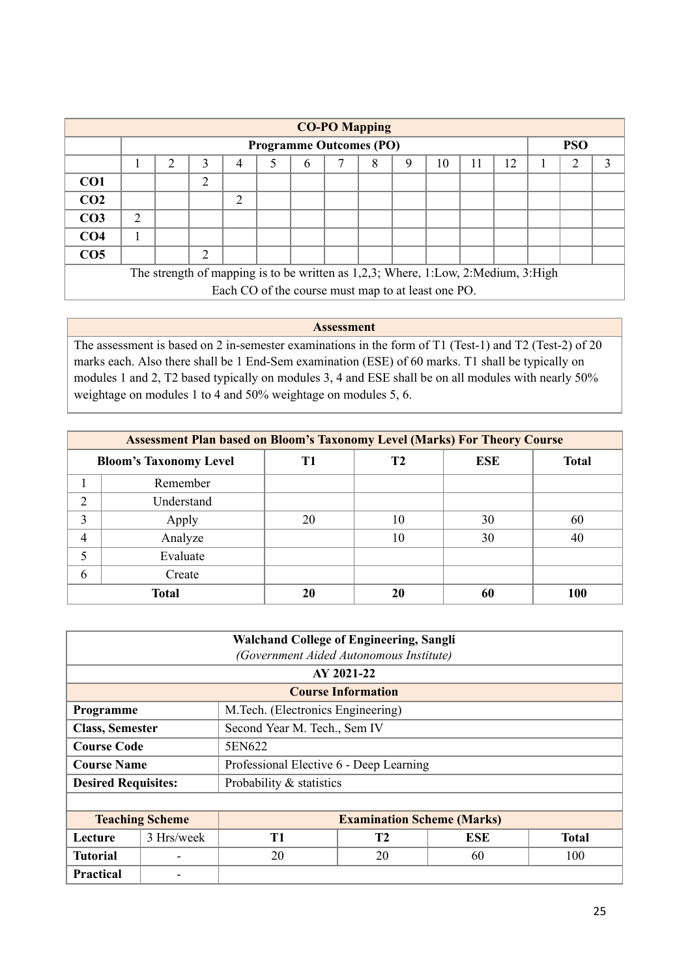| <b>CO-PO Mapping</b>                                                              |                |   |                             |                                                    |  |   |                                |   |   |    |    |    |            |   |
|-----------------------------------------------------------------------------------|----------------|---|-----------------------------|----------------------------------------------------|--|---|--------------------------------|---|---|----|----|----|------------|---|
|                                                                                   |                |   |                             |                                                    |  |   | <b>Programme Outcomes (PO)</b> |   |   |    |    |    | <b>PSO</b> |   |
|                                                                                   |                | 2 | 3                           | 4                                                  |  | 6 |                                | 8 | 9 | 10 | 11 | 12 | 2          | 3 |
| CO <sub>1</sub>                                                                   |                |   | $\overline{2}$              |                                                    |  |   |                                |   |   |    |    |    |            |   |
| CO <sub>2</sub>                                                                   |                |   |                             | 2                                                  |  |   |                                |   |   |    |    |    |            |   |
| CO <sub>3</sub>                                                                   | $\overline{2}$ |   |                             |                                                    |  |   |                                |   |   |    |    |    |            |   |
| CO <sub>4</sub>                                                                   |                |   |                             |                                                    |  |   |                                |   |   |    |    |    |            |   |
| CO <sub>5</sub>                                                                   |                |   | $\mathcal{D}_{\mathcal{A}}$ |                                                    |  |   |                                |   |   |    |    |    |            |   |
| The strength of mapping is to be written as 1,2,3; Where, 1:Low, 2:Medium, 3:High |                |   |                             |                                                    |  |   |                                |   |   |    |    |    |            |   |
|                                                                                   |                |   |                             | Each CO of the course must map to at least one PO. |  |   |                                |   |   |    |    |    |            |   |

**Assessment** The assessment is based on 2 in-semester examinations in the form of T1 (Test-1) and T2 (Test-2) of 20 marks each. Also there shall be 1 End-Sem examination (ESE) of 60 marks. T1 shall be typically on modules 1 and 2, T2 based typically on modules 3, 4 and ESE shall be on all modules with nearly 50% weightage on modules 1 to 4 and 50% weightage on modules 5, 6.

|                | <b>Assessment Plan based on Bloom's Taxonomy Level (Marks) For Theory Course</b> |    |    |            |              |  |  |  |  |
|----------------|----------------------------------------------------------------------------------|----|----|------------|--------------|--|--|--|--|
|                | <b>Bloom's Taxonomy Level</b>                                                    | T1 | T2 | <b>ESE</b> | <b>Total</b> |  |  |  |  |
|                | Remember                                                                         |    |    |            |              |  |  |  |  |
| $\overline{2}$ | Understand                                                                       |    |    |            |              |  |  |  |  |
| 3              | Apply                                                                            | 20 | 10 | 30         | 60           |  |  |  |  |
| 4              | Analyze                                                                          |    | 10 | 30         | 40           |  |  |  |  |
|                | Evaluate                                                                         |    |    |            |              |  |  |  |  |
| 6              | Create                                                                           |    |    |            |              |  |  |  |  |
|                | <b>Total</b>                                                                     | 20 | 20 | 60         | 100          |  |  |  |  |

| <b>Walchand College of Engineering, Sangli</b><br>(Government Aided Autonomous Institute) |                        |                                         |                                         |  |  |  |  |
|-------------------------------------------------------------------------------------------|------------------------|-----------------------------------------|-----------------------------------------|--|--|--|--|
|                                                                                           |                        |                                         | AY 2021-22                              |  |  |  |  |
|                                                                                           |                        |                                         | <b>Course Information</b>               |  |  |  |  |
| Programme                                                                                 |                        | M. Tech. (Electronics Engineering)      |                                         |  |  |  |  |
| <b>Class, Semester</b>                                                                    |                        | Second Year M. Tech., Sem IV            |                                         |  |  |  |  |
| <b>Course Code</b>                                                                        |                        | 5EN622                                  |                                         |  |  |  |  |
| <b>Course Name</b>                                                                        |                        | Professional Elective 6 - Deep Learning |                                         |  |  |  |  |
| <b>Desired Requisites:</b>                                                                |                        | Probability & statistics                |                                         |  |  |  |  |
|                                                                                           |                        |                                         |                                         |  |  |  |  |
|                                                                                           | <b>Teaching Scheme</b> | <b>Examination Scheme (Marks)</b>       |                                         |  |  |  |  |
| Lecture                                                                                   | 3 Hrs/week             | T <sub>1</sub>                          | <b>T2</b><br><b>ESE</b><br><b>Total</b> |  |  |  |  |
| <b>Tutorial</b>                                                                           |                        | 20<br>20<br>100<br>60                   |                                         |  |  |  |  |
| Practical                                                                                 |                        |                                         |                                         |  |  |  |  |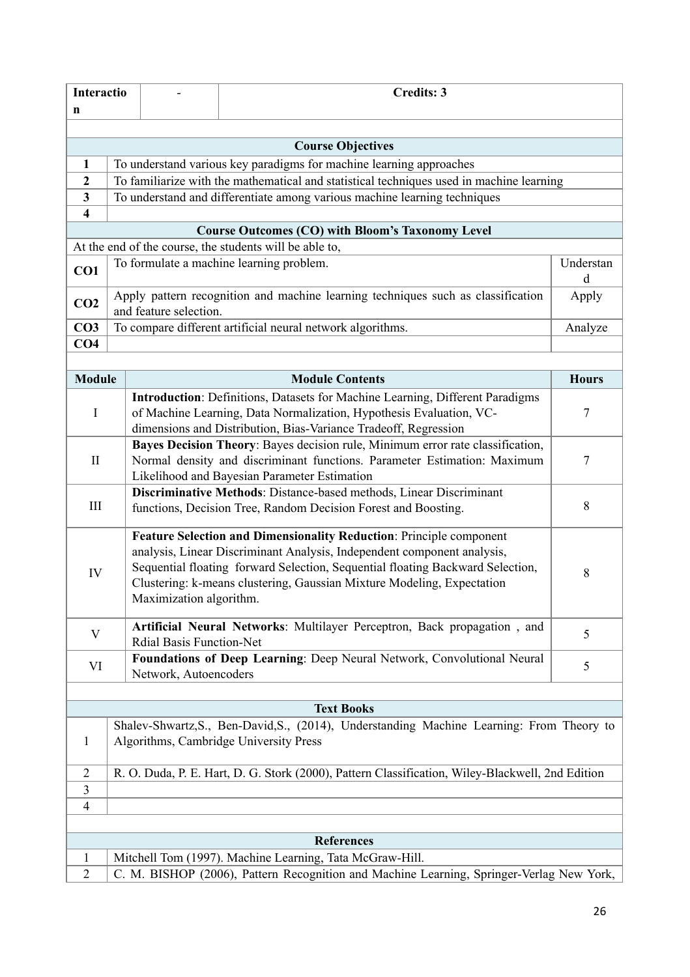| <b>Interactio</b>                                       |                                                                                                                                     | <b>Credits: 3</b>                                                                                                                                                                                                                                                                                                                     |                                                                                                                                                                                                            |              |  |  |  |  |  |  |
|---------------------------------------------------------|-------------------------------------------------------------------------------------------------------------------------------------|---------------------------------------------------------------------------------------------------------------------------------------------------------------------------------------------------------------------------------------------------------------------------------------------------------------------------------------|------------------------------------------------------------------------------------------------------------------------------------------------------------------------------------------------------------|--------------|--|--|--|--|--|--|
| n                                                       |                                                                                                                                     |                                                                                                                                                                                                                                                                                                                                       |                                                                                                                                                                                                            |              |  |  |  |  |  |  |
|                                                         |                                                                                                                                     |                                                                                                                                                                                                                                                                                                                                       |                                                                                                                                                                                                            |              |  |  |  |  |  |  |
| <b>Course Objectives</b>                                |                                                                                                                                     |                                                                                                                                                                                                                                                                                                                                       |                                                                                                                                                                                                            |              |  |  |  |  |  |  |
| 1                                                       | To understand various key paradigms for machine learning approaches                                                                 |                                                                                                                                                                                                                                                                                                                                       |                                                                                                                                                                                                            |              |  |  |  |  |  |  |
| $\overline{2}$                                          |                                                                                                                                     | To familiarize with the mathematical and statistical techniques used in machine learning                                                                                                                                                                                                                                              |                                                                                                                                                                                                            |              |  |  |  |  |  |  |
| $\mathbf{3}$                                            | To understand and differentiate among various machine learning techniques                                                           |                                                                                                                                                                                                                                                                                                                                       |                                                                                                                                                                                                            |              |  |  |  |  |  |  |
| $\boldsymbol{4}$                                        |                                                                                                                                     |                                                                                                                                                                                                                                                                                                                                       |                                                                                                                                                                                                            |              |  |  |  |  |  |  |
| <b>Course Outcomes (CO) with Bloom's Taxonomy Level</b> |                                                                                                                                     |                                                                                                                                                                                                                                                                                                                                       |                                                                                                                                                                                                            |              |  |  |  |  |  |  |
| At the end of the course, the students will be able to, |                                                                                                                                     |                                                                                                                                                                                                                                                                                                                                       |                                                                                                                                                                                                            |              |  |  |  |  |  |  |
| CO1                                                     | To formulate a machine learning problem.<br>Understan                                                                               |                                                                                                                                                                                                                                                                                                                                       |                                                                                                                                                                                                            |              |  |  |  |  |  |  |
| CO <sub>2</sub>                                         | Apply pattern recognition and machine learning techniques such as classification<br>and feature selection.                          |                                                                                                                                                                                                                                                                                                                                       |                                                                                                                                                                                                            |              |  |  |  |  |  |  |
| CO <sub>3</sub>                                         |                                                                                                                                     | To compare different artificial neural network algorithms.                                                                                                                                                                                                                                                                            |                                                                                                                                                                                                            |              |  |  |  |  |  |  |
| CO <sub>4</sub>                                         |                                                                                                                                     |                                                                                                                                                                                                                                                                                                                                       |                                                                                                                                                                                                            |              |  |  |  |  |  |  |
|                                                         |                                                                                                                                     |                                                                                                                                                                                                                                                                                                                                       |                                                                                                                                                                                                            |              |  |  |  |  |  |  |
| <b>Module</b>                                           |                                                                                                                                     |                                                                                                                                                                                                                                                                                                                                       | <b>Module Contents</b>                                                                                                                                                                                     | <b>Hours</b> |  |  |  |  |  |  |
| $\bf{I}$                                                |                                                                                                                                     | <b>Introduction:</b> Definitions, Datasets for Machine Learning, Different Paradigms<br>of Machine Learning, Data Normalization, Hypothesis Evaluation, VC-<br>dimensions and Distribution, Bias-Variance Tradeoff, Regression                                                                                                        |                                                                                                                                                                                                            |              |  |  |  |  |  |  |
| $\mathbf{I}$                                            |                                                                                                                                     |                                                                                                                                                                                                                                                                                                                                       | Bayes Decision Theory: Bayes decision rule, Minimum error rate classification,<br>Normal density and discriminant functions. Parameter Estimation: Maximum<br>Likelihood and Bayesian Parameter Estimation | 7            |  |  |  |  |  |  |
| III                                                     |                                                                                                                                     | Discriminative Methods: Distance-based methods, Linear Discriminant<br>functions, Decision Tree, Random Decision Forest and Boosting.                                                                                                                                                                                                 |                                                                                                                                                                                                            |              |  |  |  |  |  |  |
| IV                                                      |                                                                                                                                     | Feature Selection and Dimensionality Reduction: Principle component<br>analysis, Linear Discriminant Analysis, Independent component analysis,<br>Sequential floating forward Selection, Sequential floating Backward Selection,<br>Clustering: k-means clustering, Gaussian Mixture Modeling, Expectation<br>Maximization algorithm. |                                                                                                                                                                                                            |              |  |  |  |  |  |  |
| V                                                       | Artificial Neural Networks: Multilayer Perceptron, Back propagation, and<br><b>Rdial Basis Function-Net</b>                         |                                                                                                                                                                                                                                                                                                                                       |                                                                                                                                                                                                            | 5            |  |  |  |  |  |  |
| VI                                                      |                                                                                                                                     | Foundations of Deep Learning: Deep Neural Network, Convolutional Neural<br>Network, Autoencoders                                                                                                                                                                                                                                      |                                                                                                                                                                                                            |              |  |  |  |  |  |  |
|                                                         |                                                                                                                                     |                                                                                                                                                                                                                                                                                                                                       |                                                                                                                                                                                                            |              |  |  |  |  |  |  |
| <b>Text Books</b>                                       |                                                                                                                                     |                                                                                                                                                                                                                                                                                                                                       |                                                                                                                                                                                                            |              |  |  |  |  |  |  |
| $\mathbf{1}$                                            | Shalev-Shwartz, S., Ben-David, S., (2014), Understanding Machine Learning: From Theory to<br>Algorithms, Cambridge University Press |                                                                                                                                                                                                                                                                                                                                       |                                                                                                                                                                                                            |              |  |  |  |  |  |  |
| $\overline{2}$                                          | R. O. Duda, P. E. Hart, D. G. Stork (2000), Pattern Classification, Wiley-Blackwell, 2nd Edition                                    |                                                                                                                                                                                                                                                                                                                                       |                                                                                                                                                                                                            |              |  |  |  |  |  |  |
| 3                                                       |                                                                                                                                     |                                                                                                                                                                                                                                                                                                                                       |                                                                                                                                                                                                            |              |  |  |  |  |  |  |
| 4                                                       |                                                                                                                                     |                                                                                                                                                                                                                                                                                                                                       |                                                                                                                                                                                                            |              |  |  |  |  |  |  |
|                                                         |                                                                                                                                     |                                                                                                                                                                                                                                                                                                                                       |                                                                                                                                                                                                            |              |  |  |  |  |  |  |
| <b>References</b>                                       |                                                                                                                                     |                                                                                                                                                                                                                                                                                                                                       |                                                                                                                                                                                                            |              |  |  |  |  |  |  |
| $\mathbf{1}$                                            | Mitchell Tom (1997). Machine Learning, Tata McGraw-Hill.                                                                            |                                                                                                                                                                                                                                                                                                                                       |                                                                                                                                                                                                            |              |  |  |  |  |  |  |
| $\overline{2}$                                          | C. M. BISHOP (2006), Pattern Recognition and Machine Learning, Springer-Verlag New York,                                            |                                                                                                                                                                                                                                                                                                                                       |                                                                                                                                                                                                            |              |  |  |  |  |  |  |